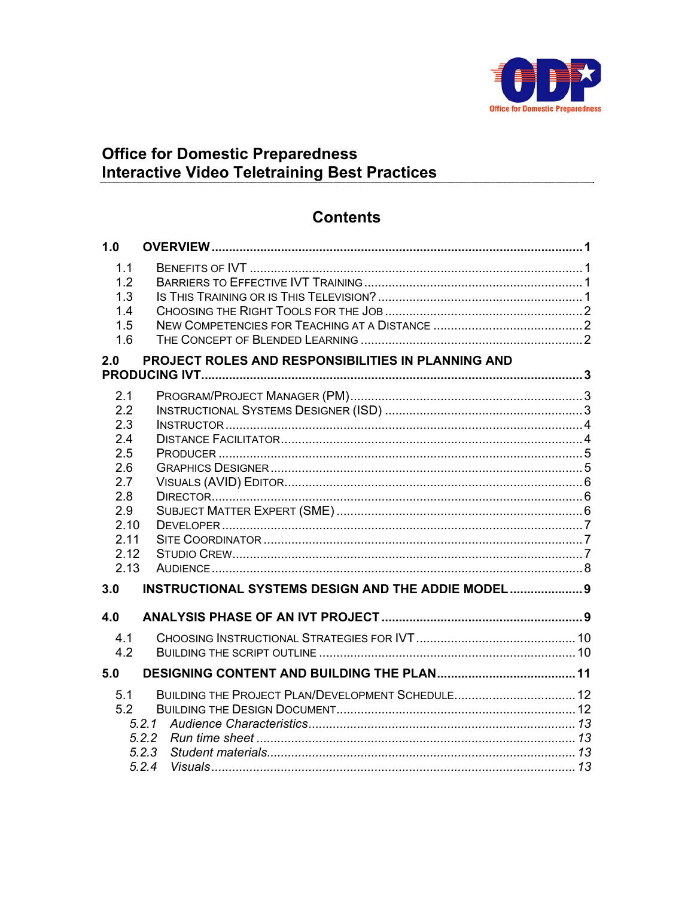

# Office for Domestic Preparedness<br>Interactive Video Teletraining Best Practices

# **Contents**

| 1.0                                                                                         |                                                                     |  |
|---------------------------------------------------------------------------------------------|---------------------------------------------------------------------|--|
| 1.1<br>1.2<br>1.3<br>1.4<br>1.5<br>1.6                                                      |                                                                     |  |
| 2.0                                                                                         | PROJECT ROLES AND RESPONSIBILITIES IN PLANNING AND                  |  |
| 2.1<br>2.2<br>2.3<br>2.4<br>2.5<br>2.6<br>2.7<br>2.8<br>2.9<br>2.10<br>2.11<br>2.12<br>2.13 |                                                                     |  |
| 3.0                                                                                         | <b>INSTRUCTIONAL SYSTEMS DESIGN AND THE ADDIE MODEL 9</b>           |  |
| 4.0                                                                                         |                                                                     |  |
| 4.1<br>4.2                                                                                  |                                                                     |  |
| 5.0                                                                                         |                                                                     |  |
| 5.1<br>5.2                                                                                  | BUILDING THE PROJECT PLAN/DEVELOPMENT SCHEDULE 12<br>5.2.3<br>5.2.4 |  |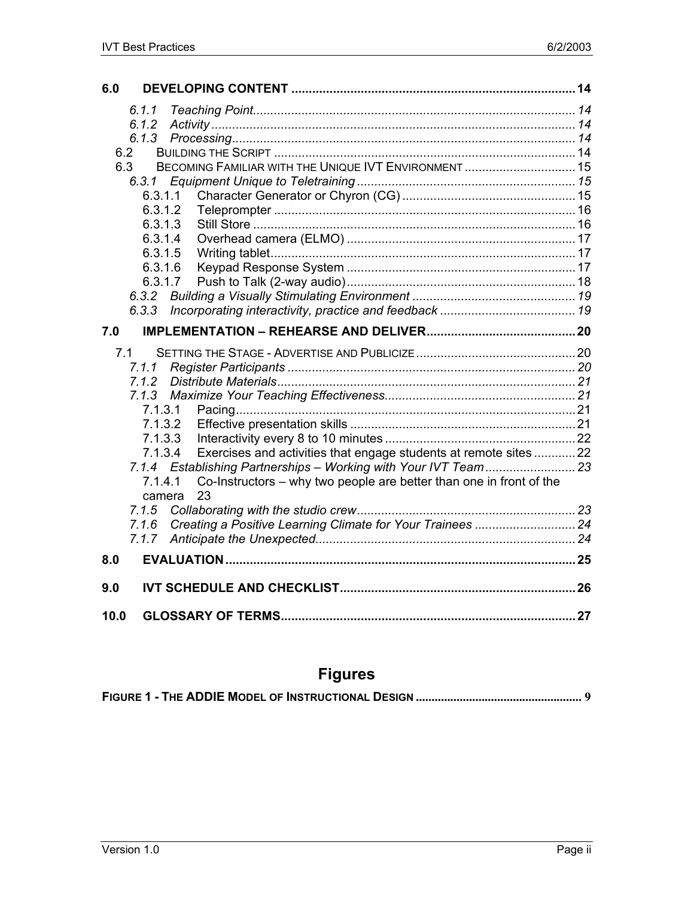| 6.0                                                                            |  |
|--------------------------------------------------------------------------------|--|
| 6.1.1                                                                          |  |
| 6.1.2                                                                          |  |
| 6.1.3                                                                          |  |
| 6.2                                                                            |  |
| BECOMING FAMILIAR WITH THE UNIQUE IVT ENVIRONMENT  15<br>6.3                   |  |
| 6.3.1                                                                          |  |
| 6.3.1.1                                                                        |  |
| 6.3.1.2                                                                        |  |
| 6.3.1.3                                                                        |  |
| 6.3.1.4                                                                        |  |
| 6.3.1.5                                                                        |  |
| 6.3.1.6                                                                        |  |
| 6.3.1.7                                                                        |  |
|                                                                                |  |
| 6, 3, 3                                                                        |  |
| 7.0                                                                            |  |
| 7.1                                                                            |  |
| 7.1.1                                                                          |  |
| 7.1.2                                                                          |  |
| 7.1.3                                                                          |  |
| 7.1.3.1                                                                        |  |
| 7.1.3.2                                                                        |  |
| 7.1.3.3                                                                        |  |
| Exercises and activities that engage students at remote sites 22<br>7.1.3.4    |  |
|                                                                                |  |
| Co-Instructors – why two people are better than one in front of the<br>7.1.4.1 |  |
| 23<br>camera                                                                   |  |
| 7.1.5                                                                          |  |
| 7.1.6                                                                          |  |
| 7.1.7                                                                          |  |
| 8.0                                                                            |  |
| 9.0                                                                            |  |
| 10.0                                                                           |  |

# **Figures**

|--|--|--|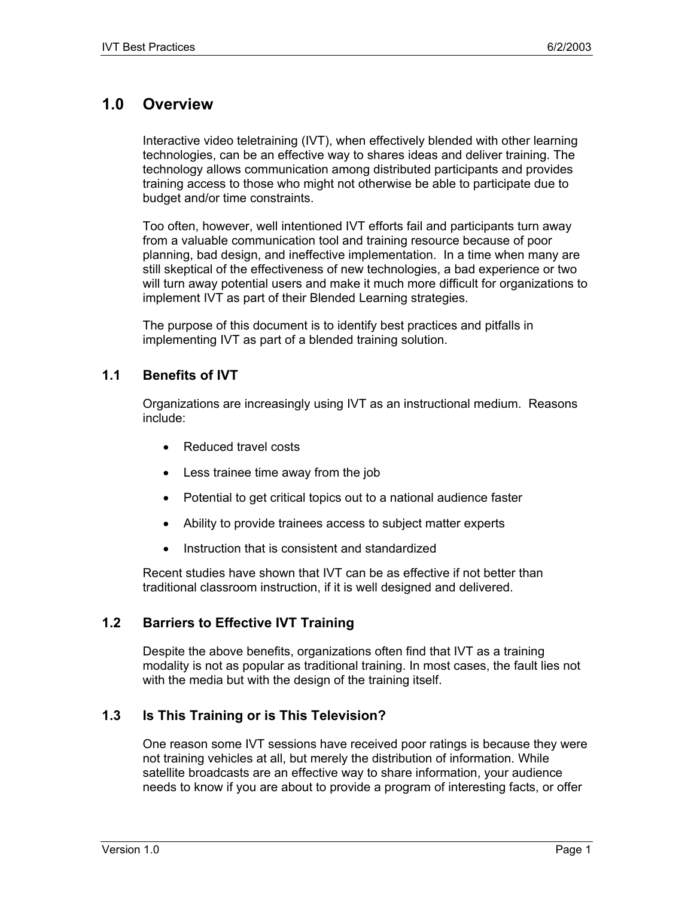# **1.0 Overview**

Interactive video teletraining (IVT), when effectively blended with other learning technologies, can be an effective way to shares ideas and deliver training. The technology allows communication among distributed participants and provides training access to those who might not otherwise be able to participate due to budget and/or time constraints.

Too often, however, well intentioned IVT efforts fail and participants turn away from a valuable communication tool and training resource because of poor planning, bad design, and ineffective implementation. In a time when many are still skeptical of the effectiveness of new technologies, a bad experience or two will turn away potential users and make it much more difficult for organizations to implement IVT as part of their Blended Learning strategies.

The purpose of this document is to identify best practices and pitfalls in implementing IVT as part of a blended training solution.

## **1.1 Benefits of IVT**

Organizations are increasingly using IVT as an instructional medium. Reasons include:

- Reduced travel costs
- Less trainee time away from the job
- Potential to get critical topics out to a national audience faster
- Ability to provide trainees access to subject matter experts
- Instruction that is consistent and standardized

Recent studies have shown that IVT can be as effective if not better than traditional classroom instruction, if it is well designed and delivered.

## **1.2 Barriers to Effective IVT Training**

Despite the above benefits, organizations often find that IVT as a training modality is not as popular as traditional training. In most cases, the fault lies not with the media but with the design of the training itself.

## **1.3 Is This Training or is This Television?**

One reason some IVT sessions have received poor ratings is because they were not training vehicles at all, but merely the distribution of information. While satellite broadcasts are an effective way to share information, your audience needs to know if you are about to provide a program of interesting facts, or offer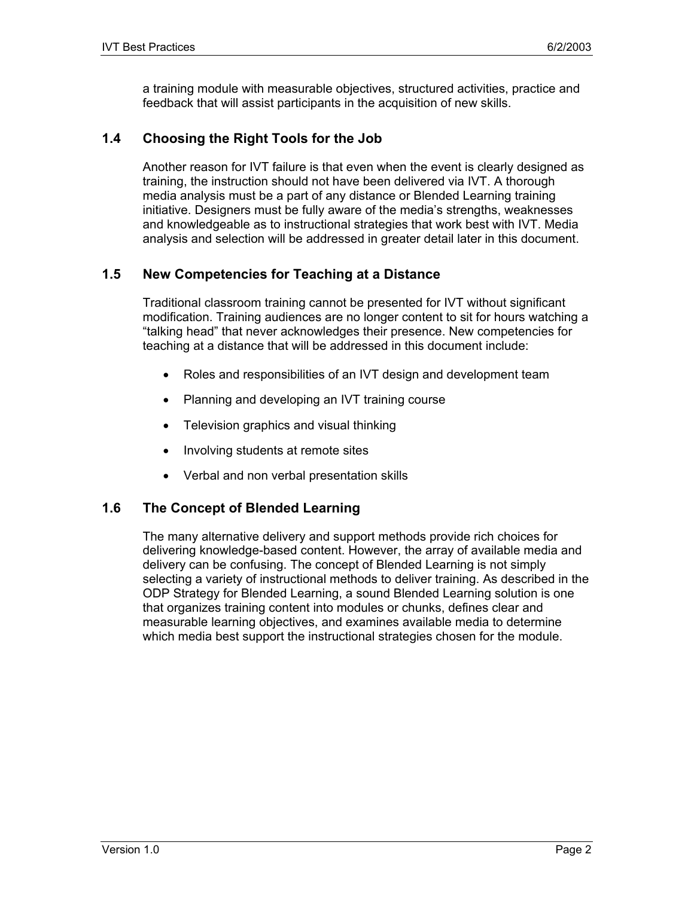a training module with measurable objectives, structured activities, practice and feedback that will assist participants in the acquisition of new skills.

## **1.4 Choosing the Right Tools for the Job**

Another reason for IVT failure is that even when the event is clearly designed as training, the instruction should not have been delivered via IVT. A thorough media analysis must be a part of any distance or Blended Learning training initiative. Designers must be fully aware of the media's strengths, weaknesses and knowledgeable as to instructional strategies that work best with IVT. Media analysis and selection will be addressed in greater detail later in this document.

## **1.5 New Competencies for Teaching at a Distance**

Traditional classroom training cannot be presented for IVT without significant modification. Training audiences are no longer content to sit for hours watching a "talking head" that never acknowledges their presence. New competencies for teaching at a distance that will be addressed in this document include:

- Roles and responsibilities of an IVT design and development team
- Planning and developing an IVT training course
- Television graphics and visual thinking
- Involving students at remote sites
- Verbal and non verbal presentation skills

#### **1.6 The Concept of Blended Learning**

The many alternative delivery and support methods provide rich choices for delivering knowledge-based content. However, the array of available media and delivery can be confusing. The concept of Blended Learning is not simply selecting a variety of instructional methods to deliver training. As described in the ODP Strategy for Blended Learning, a sound Blended Learning solution is one that organizes training content into modules or chunks, defines clear and measurable learning objectives, and examines available media to determine which media best support the instructional strategies chosen for the module.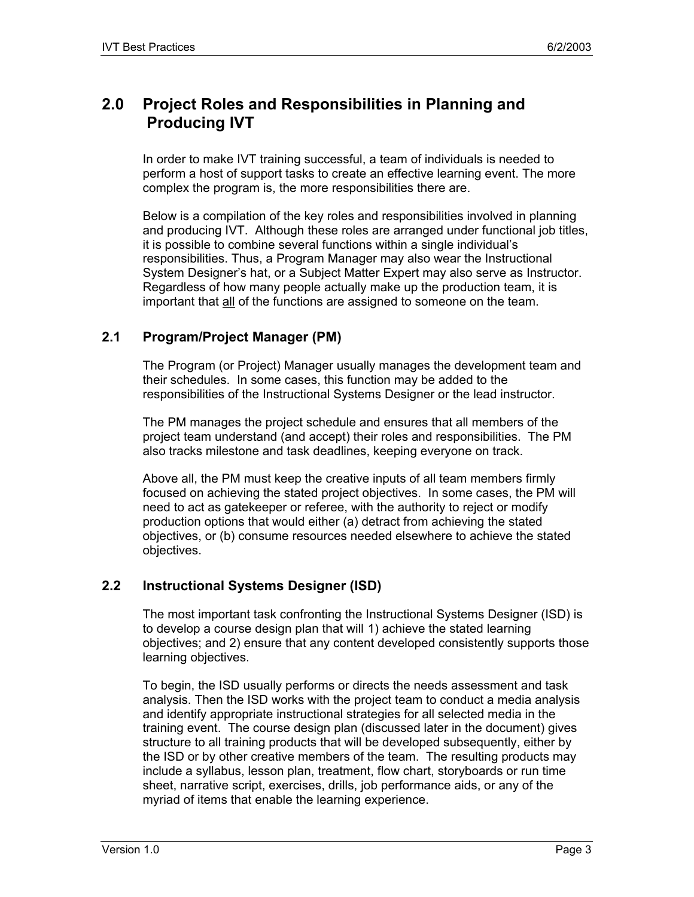# **2.0 Project Roles and Responsibilities in Planning and Producing IVT**

In order to make IVT training successful, a team of individuals is needed to perform a host of support tasks to create an effective learning event. The more complex the program is, the more responsibilities there are.

Below is a compilation of the key roles and responsibilities involved in planning and producing IVT. Although these roles are arranged under functional job titles, it is possible to combine several functions within a single individual's responsibilities. Thus, a Program Manager may also wear the Instructional System Designer's hat, or a Subject Matter Expert may also serve as Instructor. Regardless of how many people actually make up the production team, it is important that all of the functions are assigned to someone on the team.

## **2.1 Program/Project Manager (PM)**

The Program (or Project) Manager usually manages the development team and their schedules. In some cases, this function may be added to the responsibilities of the Instructional Systems Designer or the lead instructor.

The PM manages the project schedule and ensures that all members of the project team understand (and accept) their roles and responsibilities. The PM also tracks milestone and task deadlines, keeping everyone on track.

Above all, the PM must keep the creative inputs of all team members firmly focused on achieving the stated project objectives. In some cases, the PM will need to act as gatekeeper or referee, with the authority to reject or modify production options that would either (a) detract from achieving the stated objectives, or (b) consume resources needed elsewhere to achieve the stated objectives.

## **2.2 Instructional Systems Designer (ISD)**

The most important task confronting the Instructional Systems Designer (ISD) is to develop a course design plan that will 1) achieve the stated learning objectives; and 2) ensure that any content developed consistently supports those learning objectives.

To begin, the ISD usually performs or directs the needs assessment and task analysis. Then the ISD works with the project team to conduct a media analysis and identify appropriate instructional strategies for all selected media in the training event. The course design plan (discussed later in the document) gives structure to all training products that will be developed subsequently, either by the ISD or by other creative members of the team. The resulting products may include a syllabus, lesson plan, treatment, flow chart, storyboards or run time sheet, narrative script, exercises, drills, job performance aids, or any of the myriad of items that enable the learning experience.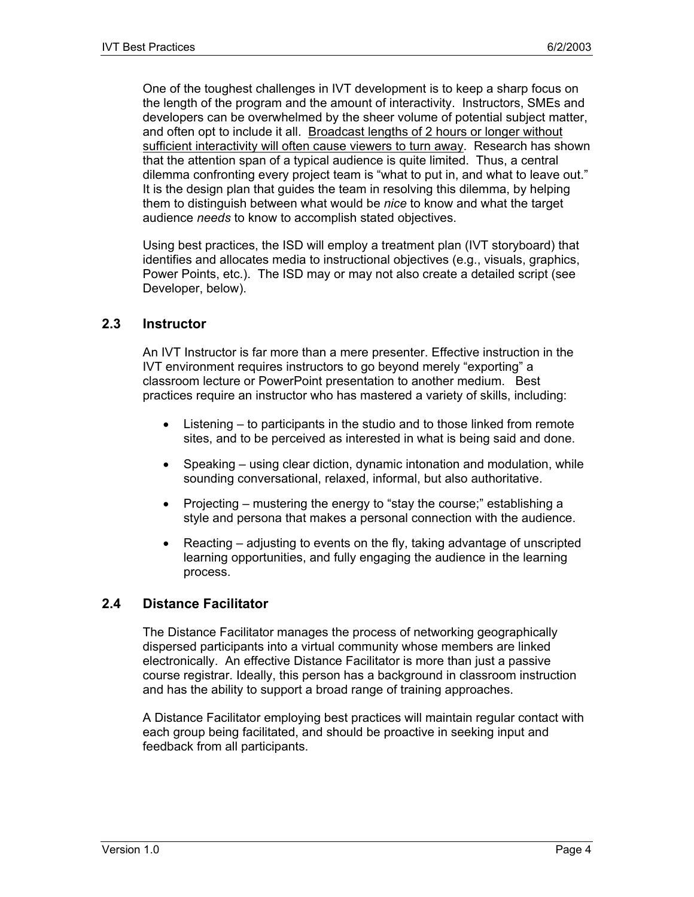One of the toughest challenges in IVT development is to keep a sharp focus on the length of the program and the amount of interactivity. Instructors, SMEs and developers can be overwhelmed by the sheer volume of potential subject matter, and often opt to include it all. Broadcast lengths of 2 hours or longer without sufficient interactivity will often cause viewers to turn away. Research has shown that the attention span of a typical audience is quite limited. Thus, a central dilemma confronting every project team is "what to put in, and what to leave out." It is the design plan that guides the team in resolving this dilemma, by helping them to distinguish between what would be *nice* to know and what the target audience *needs* to know to accomplish stated objectives.

Using best practices, the ISD will employ a treatment plan (IVT storyboard) that identifies and allocates media to instructional objectives (e.g., visuals, graphics, Power Points, etc.). The ISD may or may not also create a detailed script (see Developer, below).

#### **2.3 Instructor**

An IVT Instructor is far more than a mere presenter. Effective instruction in the IVT environment requires instructors to go beyond merely "exporting" a classroom lecture or PowerPoint presentation to another medium. Best practices require an instructor who has mastered a variety of skills, including:

- Listening to participants in the studio and to those linked from remote sites, and to be perceived as interested in what is being said and done.
- Speaking using clear diction, dynamic intonation and modulation, while sounding conversational, relaxed, informal, but also authoritative.
- Projecting mustering the energy to "stay the course;" establishing a style and persona that makes a personal connection with the audience.
- Reacting adjusting to events on the fly, taking advantage of unscripted learning opportunities, and fully engaging the audience in the learning process.

#### **2.4 Distance Facilitator**

The Distance Facilitator manages the process of networking geographically dispersed participants into a virtual community whose members are linked electronically. An effective Distance Facilitator is more than just a passive course registrar. Ideally, this person has a background in classroom instruction and has the ability to support a broad range of training approaches.

A Distance Facilitator employing best practices will maintain regular contact with each group being facilitated, and should be proactive in seeking input and feedback from all participants.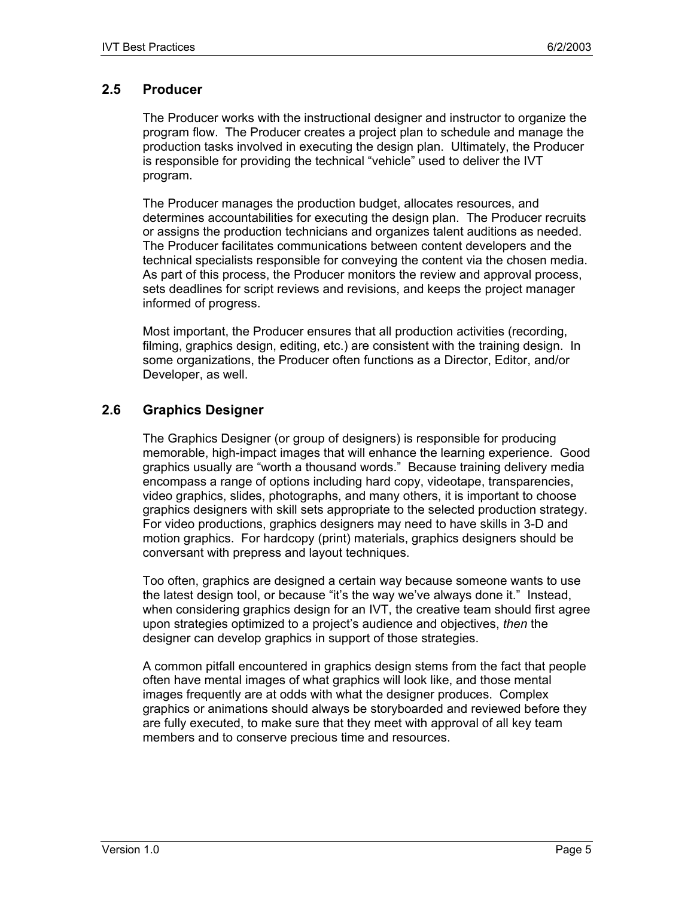## **2.5 Producer**

The Producer works with the instructional designer and instructor to organize the program flow. The Producer creates a project plan to schedule and manage the production tasks involved in executing the design plan. Ultimately, the Producer is responsible for providing the technical "vehicle" used to deliver the IVT program.

The Producer manages the production budget, allocates resources, and determines accountabilities for executing the design plan. The Producer recruits or assigns the production technicians and organizes talent auditions as needed. The Producer facilitates communications between content developers and the technical specialists responsible for conveying the content via the chosen media. As part of this process, the Producer monitors the review and approval process, sets deadlines for script reviews and revisions, and keeps the project manager informed of progress.

Most important, the Producer ensures that all production activities (recording, filming, graphics design, editing, etc.) are consistent with the training design. In some organizations, the Producer often functions as a Director, Editor, and/or Developer, as well.

## **2.6 Graphics Designer**

The Graphics Designer (or group of designers) is responsible for producing memorable, high-impact images that will enhance the learning experience. Good graphics usually are "worth a thousand words." Because training delivery media encompass a range of options including hard copy, videotape, transparencies, video graphics, slides, photographs, and many others, it is important to choose graphics designers with skill sets appropriate to the selected production strategy. For video productions, graphics designers may need to have skills in 3-D and motion graphics. For hardcopy (print) materials, graphics designers should be conversant with prepress and layout techniques.

Too often, graphics are designed a certain way because someone wants to use the latest design tool, or because "it's the way we've always done it." Instead, when considering graphics design for an IVT, the creative team should first agree upon strategies optimized to a project's audience and objectives, *then* the designer can develop graphics in support of those strategies.

A common pitfall encountered in graphics design stems from the fact that people often have mental images of what graphics will look like, and those mental images frequently are at odds with what the designer produces. Complex graphics or animations should always be storyboarded and reviewed before they are fully executed, to make sure that they meet with approval of all key team members and to conserve precious time and resources.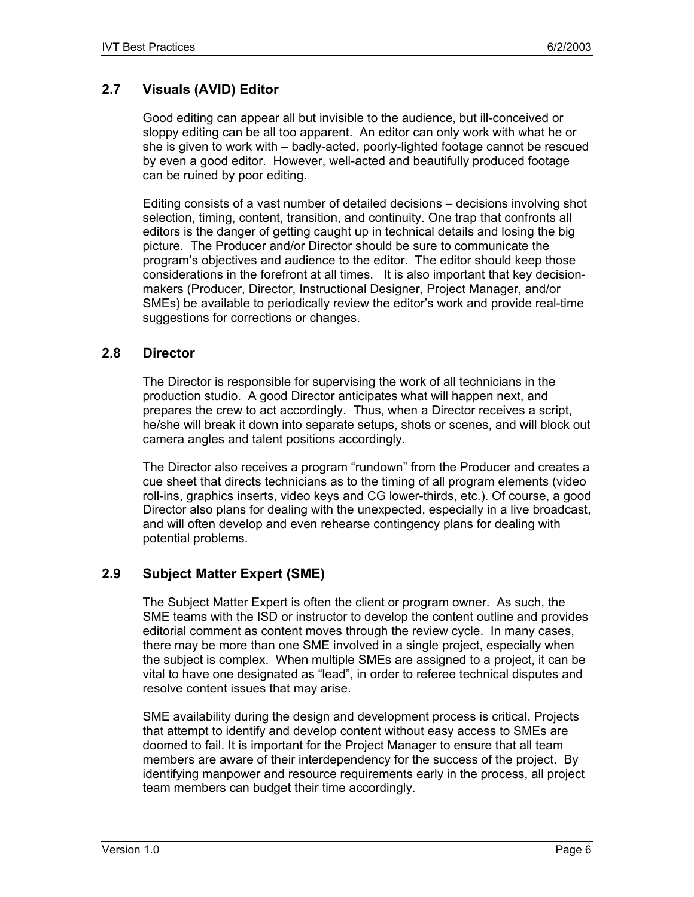## **2.7 Visuals (AVID) Editor**

Good editing can appear all but invisible to the audience, but ill-conceived or sloppy editing can be all too apparent. An editor can only work with what he or she is given to work with – badly-acted, poorly-lighted footage cannot be rescued by even a good editor. However, well-acted and beautifully produced footage can be ruined by poor editing.

Editing consists of a vast number of detailed decisions – decisions involving shot selection, timing, content, transition, and continuity. One trap that confronts all editors is the danger of getting caught up in technical details and losing the big picture. The Producer and/or Director should be sure to communicate the program's objectives and audience to the editor. The editor should keep those considerations in the forefront at all times. It is also important that key decisionmakers (Producer, Director, Instructional Designer, Project Manager, and/or SMEs) be available to periodically review the editor's work and provide real-time suggestions for corrections or changes.

#### **2.8 Director**

The Director is responsible for supervising the work of all technicians in the production studio. A good Director anticipates what will happen next, and prepares the crew to act accordingly. Thus, when a Director receives a script, he/she will break it down into separate setups, shots or scenes, and will block out camera angles and talent positions accordingly.

The Director also receives a program "rundown" from the Producer and creates a cue sheet that directs technicians as to the timing of all program elements (video roll-ins, graphics inserts, video keys and CG lower-thirds, etc.). Of course, a good Director also plans for dealing with the unexpected, especially in a live broadcast, and will often develop and even rehearse contingency plans for dealing with potential problems.

## **2.9 Subject Matter Expert (SME)**

The Subject Matter Expert is often the client or program owner. As such, the SME teams with the ISD or instructor to develop the content outline and provides editorial comment as content moves through the review cycle. In many cases, there may be more than one SME involved in a single project, especially when the subject is complex. When multiple SMEs are assigned to a project, it can be vital to have one designated as "lead", in order to referee technical disputes and resolve content issues that may arise.

SME availability during the design and development process is critical. Projects that attempt to identify and develop content without easy access to SMEs are doomed to fail. It is important for the Project Manager to ensure that all team members are aware of their interdependency for the success of the project. By identifying manpower and resource requirements early in the process, all project team members can budget their time accordingly.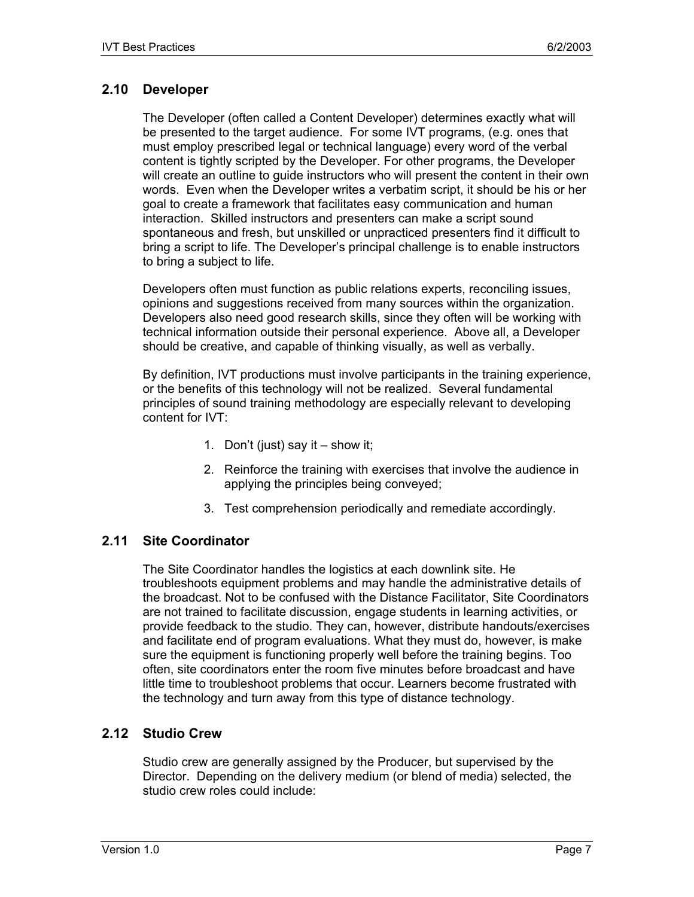## **2.10 Developer**

The Developer (often called a Content Developer) determines exactly what will be presented to the target audience. For some IVT programs, (e.g. ones that must employ prescribed legal or technical language) every word of the verbal content is tightly scripted by the Developer. For other programs, the Developer will create an outline to guide instructors who will present the content in their own words. Even when the Developer writes a verbatim script, it should be his or her goal to create a framework that facilitates easy communication and human interaction. Skilled instructors and presenters can make a script sound spontaneous and fresh, but unskilled or unpracticed presenters find it difficult to bring a script to life. The Developer's principal challenge is to enable instructors to bring a subject to life.

Developers often must function as public relations experts, reconciling issues, opinions and suggestions received from many sources within the organization. Developers also need good research skills, since they often will be working with technical information outside their personal experience. Above all, a Developer should be creative, and capable of thinking visually, as well as verbally.

By definition, IVT productions must involve participants in the training experience, or the benefits of this technology will not be realized. Several fundamental principles of sound training methodology are especially relevant to developing content for IVT:

- 1. Don't (just) say it show it;
- 2. Reinforce the training with exercises that involve the audience in applying the principles being conveyed;
- 3. Test comprehension periodically and remediate accordingly.

## **2.11 Site Coordinator**

The Site Coordinator handles the logistics at each downlink site. He troubleshoots equipment problems and may handle the administrative details of the broadcast. Not to be confused with the Distance Facilitator, Site Coordinators are not trained to facilitate discussion, engage students in learning activities, or provide feedback to the studio. They can, however, distribute handouts/exercises and facilitate end of program evaluations. What they must do, however, is make sure the equipment is functioning properly well before the training begins. Too often, site coordinators enter the room five minutes before broadcast and have little time to troubleshoot problems that occur. Learners become frustrated with the technology and turn away from this type of distance technology.

#### **2.12 Studio Crew**

Studio crew are generally assigned by the Producer, but supervised by the Director. Depending on the delivery medium (or blend of media) selected, the studio crew roles could include: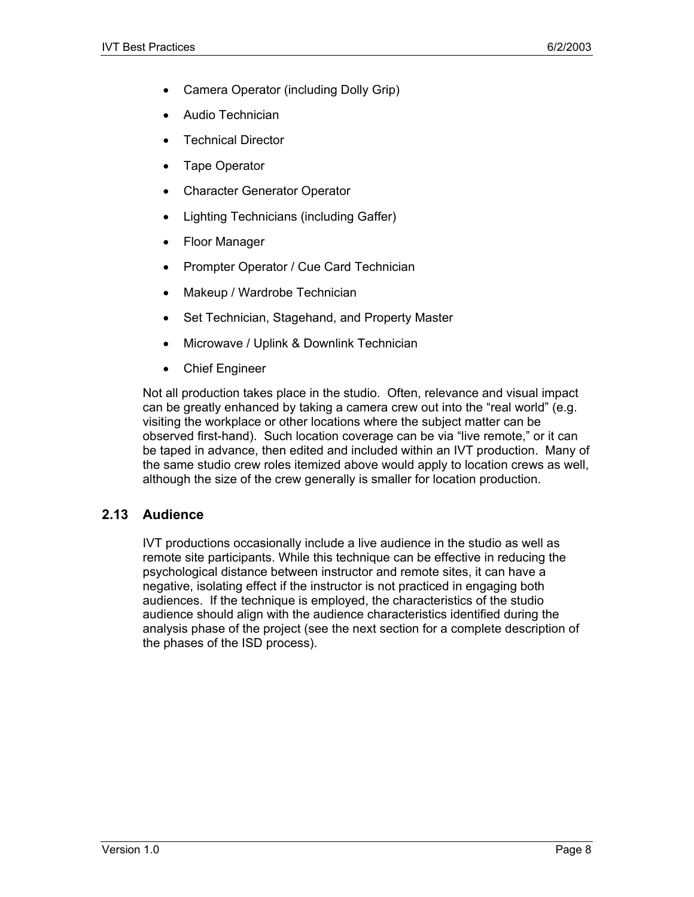- Camera Operator (including Dolly Grip)
- Audio Technician
- Technical Director
- Tape Operator
- Character Generator Operator
- Lighting Technicians (including Gaffer)
- Floor Manager
- Prompter Operator / Cue Card Technician
- Makeup / Wardrobe Technician
- Set Technician, Stagehand, and Property Master
- Microwave / Uplink & Downlink Technician
- Chief Engineer

Not all production takes place in the studio. Often, relevance and visual impact can be greatly enhanced by taking a camera crew out into the "real world" (e.g. visiting the workplace or other locations where the subject matter can be observed first-hand). Such location coverage can be via "live remote," or it can be taped in advance, then edited and included within an IVT production. Many of the same studio crew roles itemized above would apply to location crews as well, although the size of the crew generally is smaller for location production.

## **2.13 Audience**

IVT productions occasionally include a live audience in the studio as well as remote site participants. While this technique can be effective in reducing the psychological distance between instructor and remote sites, it can have a negative, isolating effect if the instructor is not practiced in engaging both audiences. If the technique is employed, the characteristics of the studio audience should align with the audience characteristics identified during the analysis phase of the project (see the next section for a complete description of the phases of the ISD process).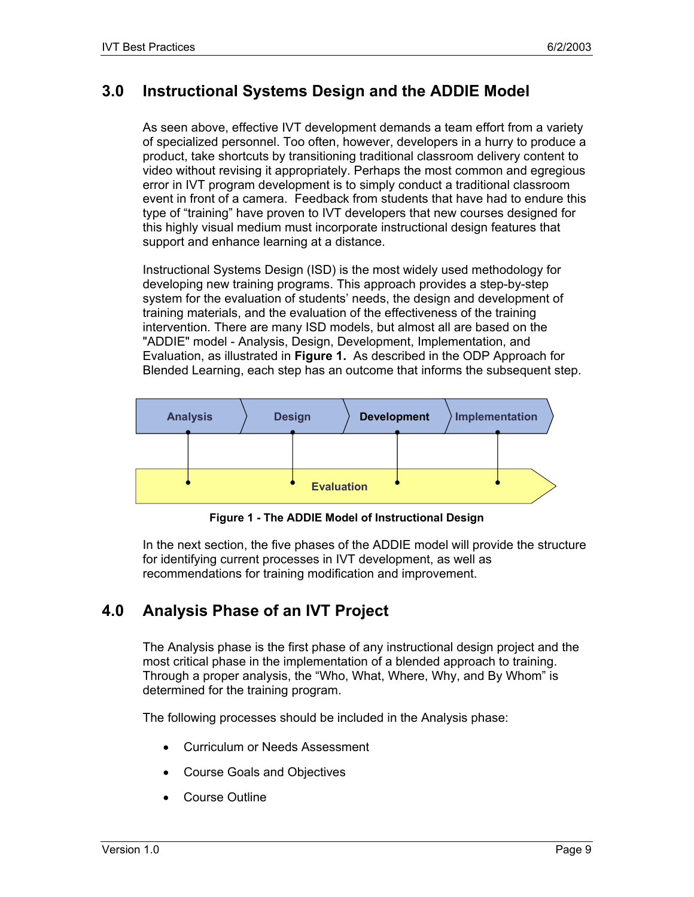## **3.0 Instructional Systems Design and the ADDIE Model**

As seen above, effective IVT development demands a team effort from a variety of specialized personnel. Too often, however, developers in a hurry to produce a product, take shortcuts by transitioning traditional classroom delivery content to video without revising it appropriately. Perhaps the most common and egregious error in IVT program development is to simply conduct a traditional classroom event in front of a camera. Feedback from students that have had to endure this type of "training" have proven to IVT developers that new courses designed for this highly visual medium must incorporate instructional design features that support and enhance learning at a distance.

Instructional Systems Design (ISD) is the most widely used methodology for developing new training programs. This approach provides a step-by-step system for the evaluation of students' needs, the design and development of training materials, and the evaluation of the effectiveness of the training intervention. There are many ISD models, but almost all are based on the "ADDIE" model - Analysis, Design, Development, Implementation, and Evaluation, as illustrated in **Figure 1.** As described in the ODP Approach for Blended Learning, each step has an outcome that informs the subsequent step.



**Figure 1 - The ADDIE Model of Instructional Design** 

In the next section, the five phases of the ADDIE model will provide the structure for identifying current processes in IVT development, as well as recommendations for training modification and improvement.

# **4.0 Analysis Phase of an IVT Project**

The Analysis phase is the first phase of any instructional design project and the most critical phase in the implementation of a blended approach to training. Through a proper analysis, the "Who, What, Where, Why, and By Whom" is determined for the training program.

The following processes should be included in the Analysis phase:

- Curriculum or Needs Assessment
- Course Goals and Objectives
- Course Outline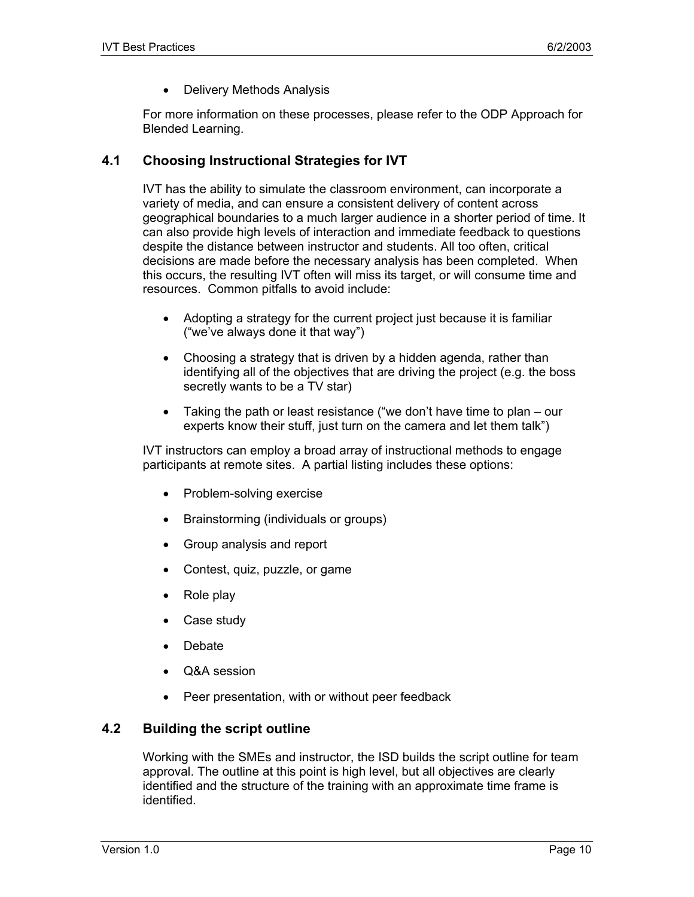• Delivery Methods Analysis

For more information on these processes, please refer to the ODP Approach for Blended Learning.

#### **4.1 Choosing Instructional Strategies for IVT**

IVT has the ability to simulate the classroom environment, can incorporate a variety of media, and can ensure a consistent delivery of content across geographical boundaries to a much larger audience in a shorter period of time. It can also provide high levels of interaction and immediate feedback to questions despite the distance between instructor and students. All too often, critical decisions are made before the necessary analysis has been completed. When this occurs, the resulting IVT often will miss its target, or will consume time and resources. Common pitfalls to avoid include:

- Adopting a strategy for the current project just because it is familiar ("we've always done it that way")
- Choosing a strategy that is driven by a hidden agenda, rather than identifying all of the objectives that are driving the project (e.g. the boss secretly wants to be a TV star)
- Taking the path or least resistance ("we don't have time to plan our experts know their stuff, just turn on the camera and let them talk")

IVT instructors can employ a broad array of instructional methods to engage participants at remote sites. A partial listing includes these options:

- Problem-solving exercise
- Brainstorming (individuals or groups)
- Group analysis and report
- Contest, quiz, puzzle, or game
- Role play
- Case study
- Debate
- Q&A session
- Peer presentation, with or without peer feedback

#### **4.2 Building the script outline**

Working with the SMEs and instructor, the ISD builds the script outline for team approval. The outline at this point is high level, but all objectives are clearly identified and the structure of the training with an approximate time frame is identified.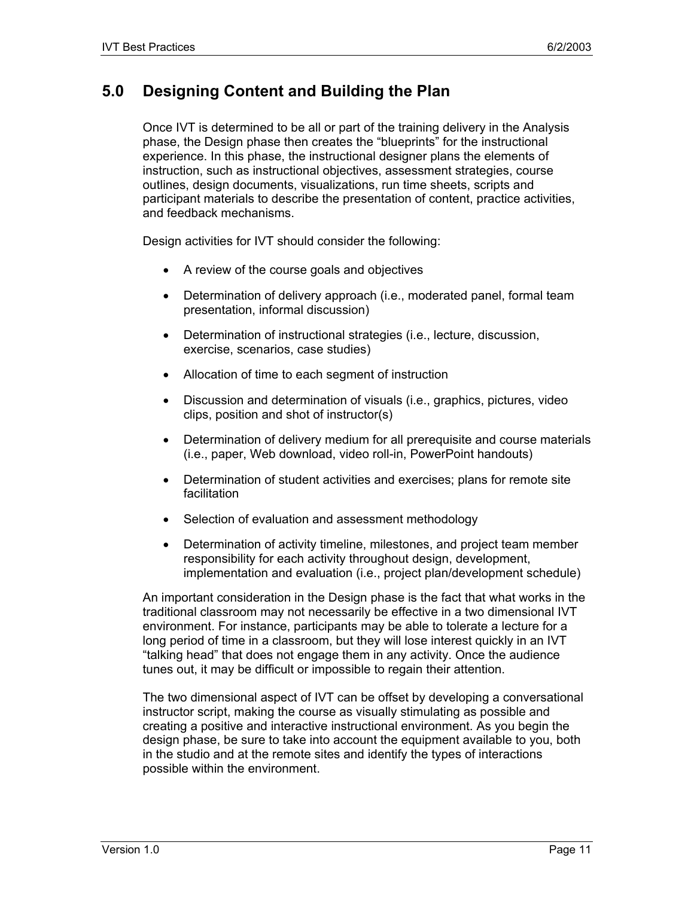# **5.0 Designing Content and Building the Plan**

Once IVT is determined to be all or part of the training delivery in the Analysis phase, the Design phase then creates the "blueprints" for the instructional experience. In this phase, the instructional designer plans the elements of instruction, such as instructional objectives, assessment strategies, course outlines, design documents, visualizations, run time sheets, scripts and participant materials to describe the presentation of content, practice activities, and feedback mechanisms.

Design activities for IVT should consider the following:

- A review of the course goals and objectives
- Determination of delivery approach (i.e., moderated panel, formal team presentation, informal discussion)
- Determination of instructional strategies (i.e., lecture, discussion, exercise, scenarios, case studies)
- Allocation of time to each segment of instruction
- Discussion and determination of visuals (i.e., graphics, pictures, video clips, position and shot of instructor(s)
- Determination of delivery medium for all prerequisite and course materials (i.e., paper, Web download, video roll-in, PowerPoint handouts)
- Determination of student activities and exercises; plans for remote site facilitation
- Selection of evaluation and assessment methodology
- Determination of activity timeline, milestones, and project team member responsibility for each activity throughout design, development, implementation and evaluation (i.e., project plan/development schedule)

An important consideration in the Design phase is the fact that what works in the traditional classroom may not necessarily be effective in a two dimensional IVT environment. For instance, participants may be able to tolerate a lecture for a long period of time in a classroom, but they will lose interest quickly in an IVT "talking head" that does not engage them in any activity. Once the audience tunes out, it may be difficult or impossible to regain their attention.

The two dimensional aspect of IVT can be offset by developing a conversational instructor script, making the course as visually stimulating as possible and creating a positive and interactive instructional environment. As you begin the design phase, be sure to take into account the equipment available to you, both in the studio and at the remote sites and identify the types of interactions possible within the environment.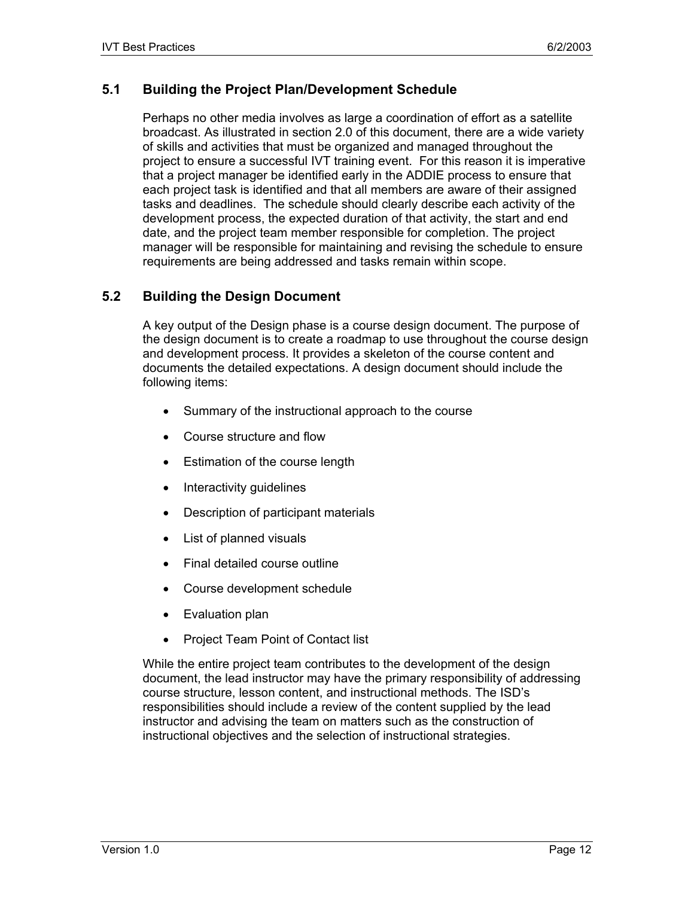## **5.1 Building the Project Plan/Development Schedule**

Perhaps no other media involves as large a coordination of effort as a satellite broadcast. As illustrated in section 2.0 of this document, there are a wide variety of skills and activities that must be organized and managed throughout the project to ensure a successful IVT training event. For this reason it is imperative that a project manager be identified early in the ADDIE process to ensure that each project task is identified and that all members are aware of their assigned tasks and deadlines. The schedule should clearly describe each activity of the development process, the expected duration of that activity, the start and end date, and the project team member responsible for completion. The project manager will be responsible for maintaining and revising the schedule to ensure requirements are being addressed and tasks remain within scope.

## **5.2 Building the Design Document**

A key output of the Design phase is a course design document. The purpose of the design document is to create a roadmap to use throughout the course design and development process. It provides a skeleton of the course content and documents the detailed expectations. A design document should include the following items:

- Summary of the instructional approach to the course
- Course structure and flow
- Estimation of the course length
- Interactivity guidelines
- Description of participant materials
- List of planned visuals
- Final detailed course outline
- Course development schedule
- Evaluation plan
- Project Team Point of Contact list

While the entire project team contributes to the development of the design document, the lead instructor may have the primary responsibility of addressing course structure, lesson content, and instructional methods. The ISD's responsibilities should include a review of the content supplied by the lead instructor and advising the team on matters such as the construction of instructional objectives and the selection of instructional strategies.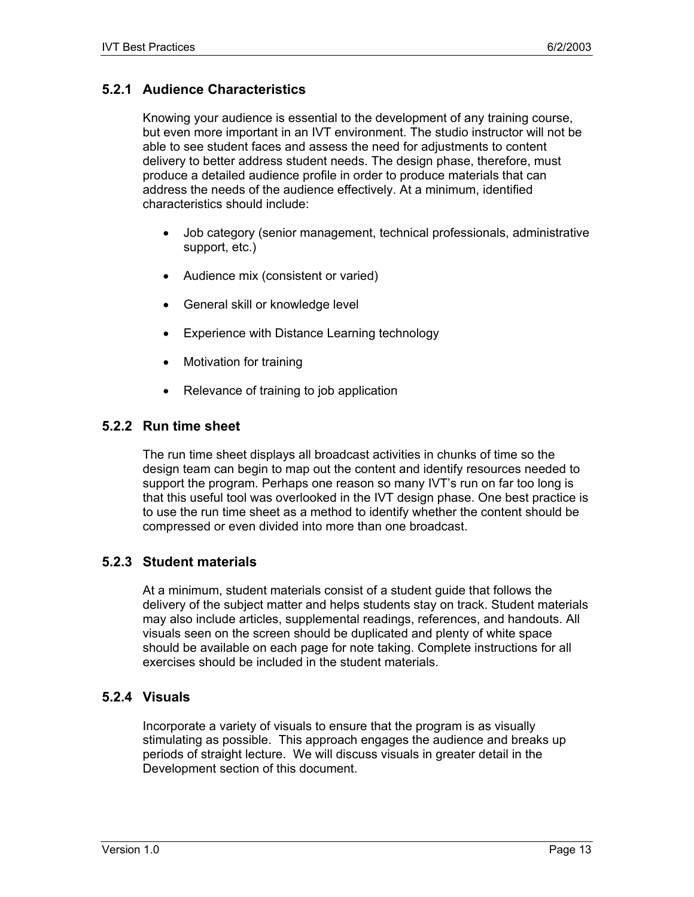## **5.2.1 Audience Characteristics**

Knowing your audience is essential to the development of any training course, but even more important in an IVT environment. The studio instructor will not be able to see student faces and assess the need for adjustments to content delivery to better address student needs. The design phase, therefore, must produce a detailed audience profile in order to produce materials that can address the needs of the audience effectively. At a minimum, identified characteristics should include:

- Job category (senior management, technical professionals, administrative support, etc.)
- Audience mix (consistent or varied)
- General skill or knowledge level
- Experience with Distance Learning technology
- Motivation for training
- Relevance of training to job application

#### **5.2.2 Run time sheet**

The run time sheet displays all broadcast activities in chunks of time so the design team can begin to map out the content and identify resources needed to support the program. Perhaps one reason so many IVT's run on far too long is that this useful tool was overlooked in the IVT design phase. One best practice is to use the run time sheet as a method to identify whether the content should be compressed or even divided into more than one broadcast.

## **5.2.3 Student materials**

At a minimum, student materials consist of a student guide that follows the delivery of the subject matter and helps students stay on track. Student materials may also include articles, supplemental readings, references, and handouts. All visuals seen on the screen should be duplicated and plenty of white space should be available on each page for note taking. Complete instructions for all exercises should be included in the student materials.

#### **5.2.4 Visuals**

Incorporate a variety of visuals to ensure that the program is as visually stimulating as possible. This approach engages the audience and breaks up periods of straight lecture. We will discuss visuals in greater detail in the Development section of this document.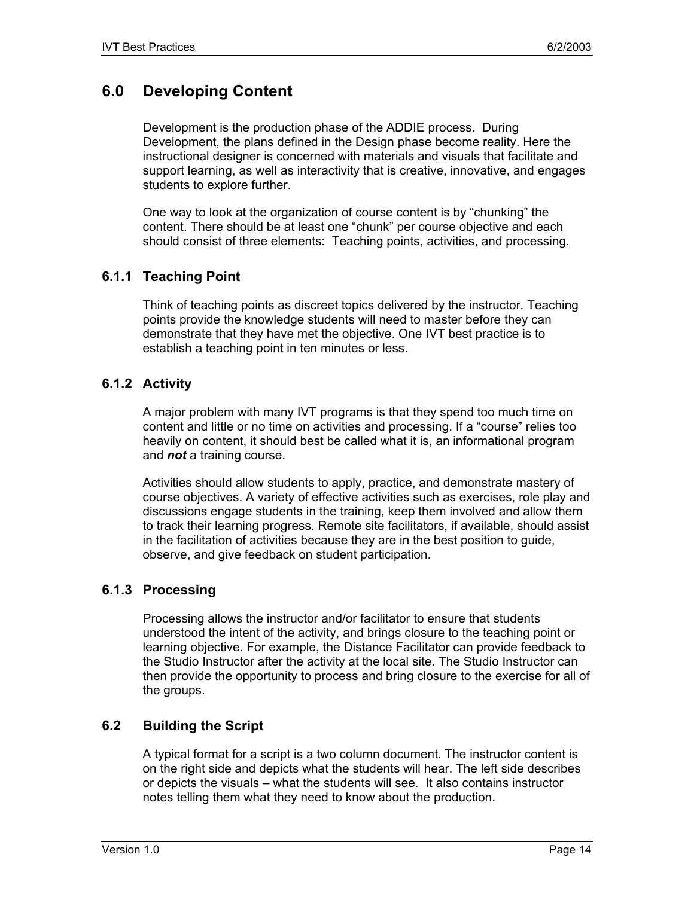# **6.0 Developing Content**

Development is the production phase of the ADDIE process. During Development, the plans defined in the Design phase become reality. Here the instructional designer is concerned with materials and visuals that facilitate and support learning, as well as interactivity that is creative, innovative, and engages students to explore further.

One way to look at the organization of course content is by "chunking" the content. There should be at least one "chunk" per course objective and each should consist of three elements: Teaching points, activities, and processing.

## **6.1.1 Teaching Point**

Think of teaching points as discreet topics delivered by the instructor. Teaching points provide the knowledge students will need to master before they can demonstrate that they have met the objective. One IVT best practice is to establish a teaching point in ten minutes or less.

#### **6.1.2 Activity**

A major problem with many IVT programs is that they spend too much time on content and little or no time on activities and processing. If a "course" relies too heavily on content, it should best be called what it is, an informational program and *not* a training course.

Activities should allow students to apply, practice, and demonstrate mastery of course objectives. A variety of effective activities such as exercises, role play and discussions engage students in the training, keep them involved and allow them to track their learning progress. Remote site facilitators, if available, should assist in the facilitation of activities because they are in the best position to guide, observe, and give feedback on student participation.

#### **6.1.3 Processing**

Processing allows the instructor and/or facilitator to ensure that students understood the intent of the activity, and brings closure to the teaching point or learning objective. For example, the Distance Facilitator can provide feedback to the Studio Instructor after the activity at the local site. The Studio Instructor can then provide the opportunity to process and bring closure to the exercise for all of the groups.

## **6.2 Building the Script**

A typical format for a script is a two column document. The instructor content is on the right side and depicts what the students will hear. The left side describes or depicts the visuals – what the students will see. It also contains instructor notes telling them what they need to know about the production.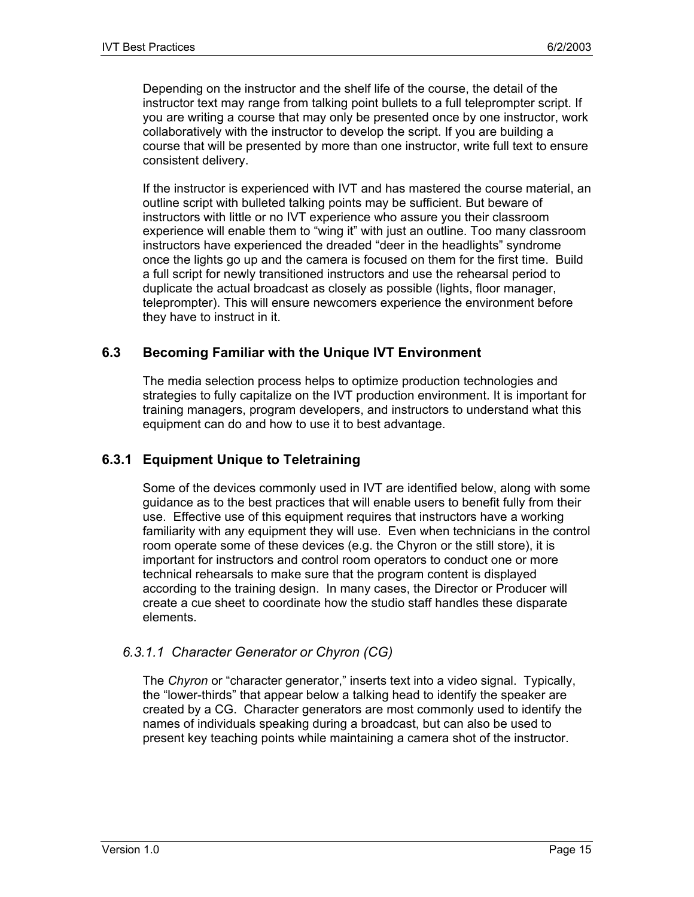Depending on the instructor and the shelf life of the course, the detail of the instructor text may range from talking point bullets to a full teleprompter script. If you are writing a course that may only be presented once by one instructor, work collaboratively with the instructor to develop the script. If you are building a course that will be presented by more than one instructor, write full text to ensure consistent delivery.

If the instructor is experienced with IVT and has mastered the course material, an outline script with bulleted talking points may be sufficient. But beware of instructors with little or no IVT experience who assure you their classroom experience will enable them to "wing it" with just an outline. Too many classroom instructors have experienced the dreaded "deer in the headlights" syndrome once the lights go up and the camera is focused on them for the first time. Build a full script for newly transitioned instructors and use the rehearsal period to duplicate the actual broadcast as closely as possible (lights, floor manager, teleprompter). This will ensure newcomers experience the environment before they have to instruct in it.

## **6.3 Becoming Familiar with the Unique IVT Environment**

The media selection process helps to optimize production technologies and strategies to fully capitalize on the IVT production environment. It is important for training managers, program developers, and instructors to understand what this equipment can do and how to use it to best advantage.

## **6.3.1 Equipment Unique to Teletraining**

Some of the devices commonly used in IVT are identified below, along with some guidance as to the best practices that will enable users to benefit fully from their use. Effective use of this equipment requires that instructors have a working familiarity with any equipment they will use. Even when technicians in the control room operate some of these devices (e.g. the Chyron or the still store), it is important for instructors and control room operators to conduct one or more technical rehearsals to make sure that the program content is displayed according to the training design. In many cases, the Director or Producer will create a cue sheet to coordinate how the studio staff handles these disparate elements.

## *6.3.1.1 Character Generator or Chyron (CG)*

The *Chyron* or "character generator," inserts text into a video signal. Typically, the "lower-thirds" that appear below a talking head to identify the speaker are created by a CG. Character generators are most commonly used to identify the names of individuals speaking during a broadcast, but can also be used to present key teaching points while maintaining a camera shot of the instructor.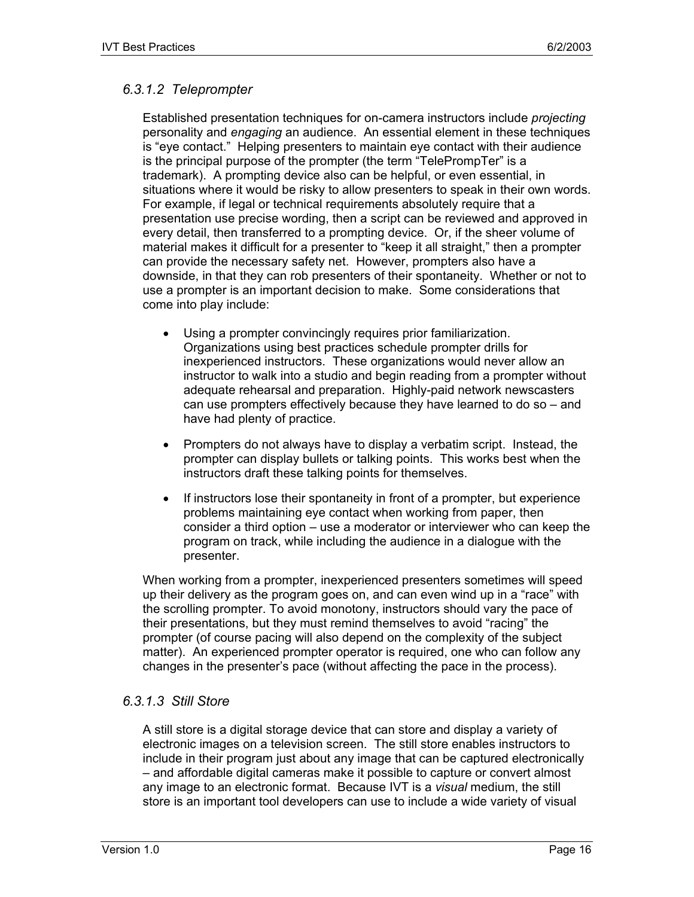## *6.3.1.2 Teleprompter*

Established presentation techniques for on-camera instructors include *projecting* personality and *engaging* an audience. An essential element in these techniques is "eye contact." Helping presenters to maintain eye contact with their audience is the principal purpose of the prompter (the term "TelePrompTer" is a trademark). A prompting device also can be helpful, or even essential, in situations where it would be risky to allow presenters to speak in their own words. For example, if legal or technical requirements absolutely require that a presentation use precise wording, then a script can be reviewed and approved in every detail, then transferred to a prompting device. Or, if the sheer volume of material makes it difficult for a presenter to "keep it all straight," then a prompter can provide the necessary safety net. However, prompters also have a downside, in that they can rob presenters of their spontaneity. Whether or not to use a prompter is an important decision to make. Some considerations that come into play include:

- Using a prompter convincingly requires prior familiarization. Organizations using best practices schedule prompter drills for inexperienced instructors. These organizations would never allow an instructor to walk into a studio and begin reading from a prompter without adequate rehearsal and preparation. Highly-paid network newscasters can use prompters effectively because they have learned to do so – and have had plenty of practice.
- Prompters do not always have to display a verbatim script. Instead, the prompter can display bullets or talking points. This works best when the instructors draft these talking points for themselves.
- If instructors lose their spontaneity in front of a prompter, but experience problems maintaining eye contact when working from paper, then consider a third option – use a moderator or interviewer who can keep the program on track, while including the audience in a dialogue with the presenter.

When working from a prompter, inexperienced presenters sometimes will speed up their delivery as the program goes on, and can even wind up in a "race" with the scrolling prompter. To avoid monotony, instructors should vary the pace of their presentations, but they must remind themselves to avoid "racing" the prompter (of course pacing will also depend on the complexity of the subject matter). An experienced prompter operator is required, one who can follow any changes in the presenter's pace (without affecting the pace in the process).

## *6.3.1.3 Still Store*

A still store is a digital storage device that can store and display a variety of electronic images on a television screen. The still store enables instructors to include in their program just about any image that can be captured electronically – and affordable digital cameras make it possible to capture or convert almost any image to an electronic format. Because IVT is a *visual* medium, the still store is an important tool developers can use to include a wide variety of visual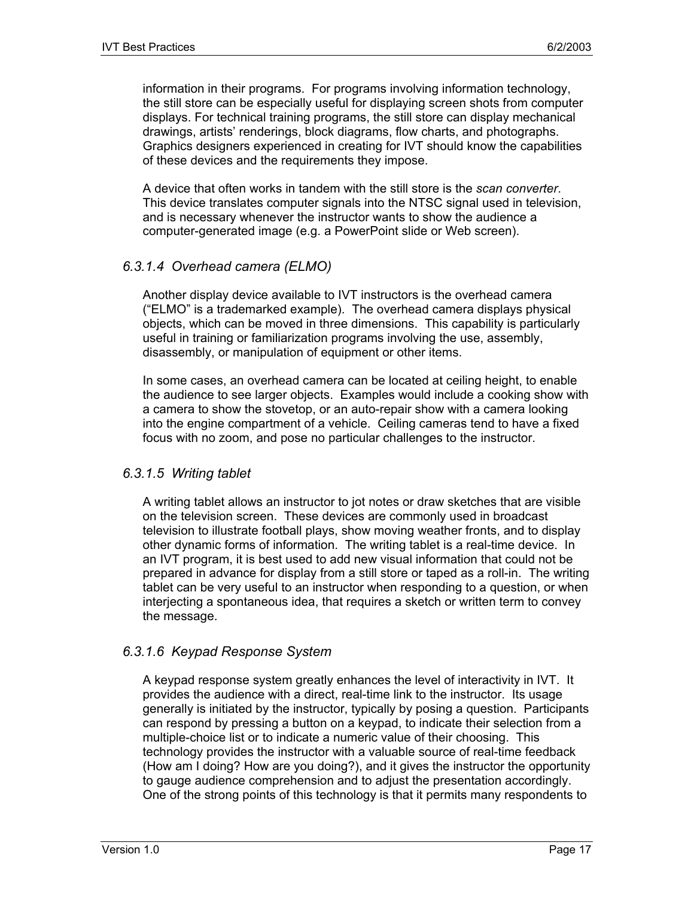information in their programs. For programs involving information technology, the still store can be especially useful for displaying screen shots from computer displays. For technical training programs, the still store can display mechanical drawings, artists' renderings, block diagrams, flow charts, and photographs. Graphics designers experienced in creating for IVT should know the capabilities of these devices and the requirements they impose.

A device that often works in tandem with the still store is the *scan converter*. This device translates computer signals into the NTSC signal used in television, and is necessary whenever the instructor wants to show the audience a computer-generated image (e.g. a PowerPoint slide or Web screen).

#### *6.3.1.4 Overhead camera (ELMO)*

Another display device available to IVT instructors is the overhead camera ("ELMO" is a trademarked example). The overhead camera displays physical objects, which can be moved in three dimensions. This capability is particularly useful in training or familiarization programs involving the use, assembly, disassembly, or manipulation of equipment or other items.

In some cases, an overhead camera can be located at ceiling height, to enable the audience to see larger objects. Examples would include a cooking show with a camera to show the stovetop, or an auto-repair show with a camera looking into the engine compartment of a vehicle. Ceiling cameras tend to have a fixed focus with no zoom, and pose no particular challenges to the instructor.

#### *6.3.1.5 Writing tablet*

A writing tablet allows an instructor to jot notes or draw sketches that are visible on the television screen. These devices are commonly used in broadcast television to illustrate football plays, show moving weather fronts, and to display other dynamic forms of information. The writing tablet is a real-time device. In an IVT program, it is best used to add new visual information that could not be prepared in advance for display from a still store or taped as a roll-in. The writing tablet can be very useful to an instructor when responding to a question, or when interjecting a spontaneous idea, that requires a sketch or written term to convey the message.

#### *6.3.1.6 Keypad Response System*

A keypad response system greatly enhances the level of interactivity in IVT. It provides the audience with a direct, real-time link to the instructor. Its usage generally is initiated by the instructor, typically by posing a question. Participants can respond by pressing a button on a keypad, to indicate their selection from a multiple-choice list or to indicate a numeric value of their choosing. This technology provides the instructor with a valuable source of real-time feedback (How am I doing? How are you doing?), and it gives the instructor the opportunity to gauge audience comprehension and to adjust the presentation accordingly. One of the strong points of this technology is that it permits many respondents to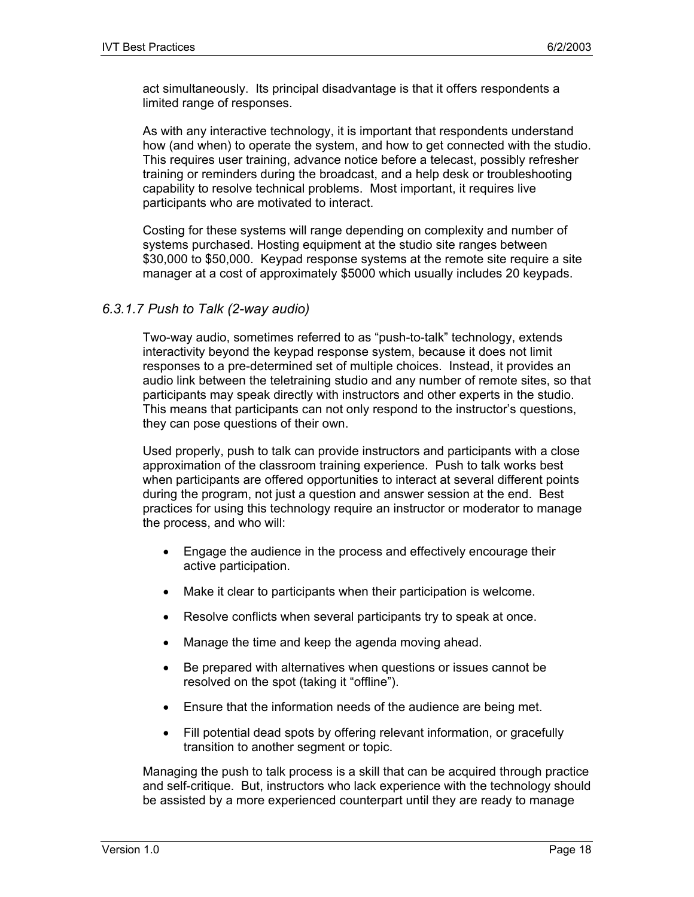act simultaneously. Its principal disadvantage is that it offers respondents a limited range of responses.

As with any interactive technology, it is important that respondents understand how (and when) to operate the system, and how to get connected with the studio. This requires user training, advance notice before a telecast, possibly refresher training or reminders during the broadcast, and a help desk or troubleshooting capability to resolve technical problems. Most important, it requires live participants who are motivated to interact.

Costing for these systems will range depending on complexity and number of systems purchased. Hosting equipment at the studio site ranges between \$30,000 to \$50,000. Keypad response systems at the remote site require a site manager at a cost of approximately \$5000 which usually includes 20 keypads.

#### *6.3.1.7 Push to Talk (2-way audio)*

Two-way audio, sometimes referred to as "push-to-talk" technology, extends interactivity beyond the keypad response system, because it does not limit responses to a pre-determined set of multiple choices. Instead, it provides an audio link between the teletraining studio and any number of remote sites, so that participants may speak directly with instructors and other experts in the studio. This means that participants can not only respond to the instructor's questions, they can pose questions of their own.

Used properly, push to talk can provide instructors and participants with a close approximation of the classroom training experience. Push to talk works best when participants are offered opportunities to interact at several different points during the program, not just a question and answer session at the end. Best practices for using this technology require an instructor or moderator to manage the process, and who will:

- Engage the audience in the process and effectively encourage their active participation.
- Make it clear to participants when their participation is welcome.
- Resolve conflicts when several participants try to speak at once.
- Manage the time and keep the agenda moving ahead.
- Be prepared with alternatives when questions or issues cannot be resolved on the spot (taking it "offline").
- Ensure that the information needs of the audience are being met.
- Fill potential dead spots by offering relevant information, or gracefully transition to another segment or topic.

Managing the push to talk process is a skill that can be acquired through practice and self-critique. But, instructors who lack experience with the technology should be assisted by a more experienced counterpart until they are ready to manage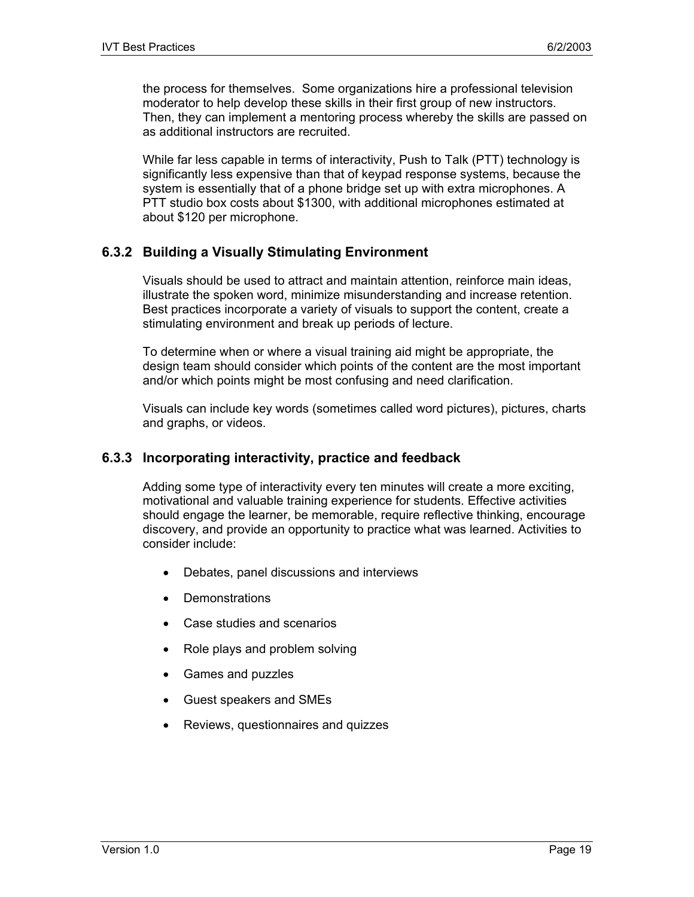the process for themselves. Some organizations hire a professional television moderator to help develop these skills in their first group of new instructors. Then, they can implement a mentoring process whereby the skills are passed on as additional instructors are recruited.

While far less capable in terms of interactivity, Push to Talk (PTT) technology is significantly less expensive than that of keypad response systems, because the system is essentially that of a phone bridge set up with extra microphones. A PTT studio box costs about \$1300, with additional microphones estimated at about \$120 per microphone.

#### **6.3.2 Building a Visually Stimulating Environment**

Visuals should be used to attract and maintain attention, reinforce main ideas, illustrate the spoken word, minimize misunderstanding and increase retention. Best practices incorporate a variety of visuals to support the content, create a stimulating environment and break up periods of lecture.

To determine when or where a visual training aid might be appropriate, the design team should consider which points of the content are the most important and/or which points might be most confusing and need clarification.

Visuals can include key words (sometimes called word pictures), pictures, charts and graphs, or videos.

#### **6.3.3 Incorporating interactivity, practice and feedback**

Adding some type of interactivity every ten minutes will create a more exciting, motivational and valuable training experience for students. Effective activities should engage the learner, be memorable, require reflective thinking, encourage discovery, and provide an opportunity to practice what was learned. Activities to consider include:

- Debates, panel discussions and interviews
- **Demonstrations**
- Case studies and scenarios
- Role plays and problem solving
- Games and puzzles
- Guest speakers and SMEs
- Reviews, questionnaires and quizzes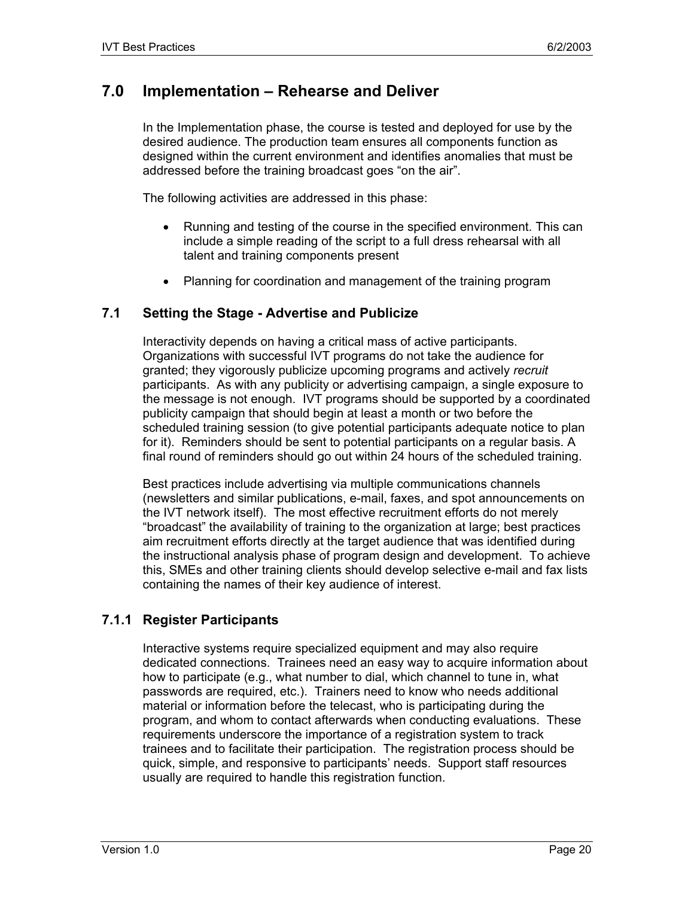# **7.0 Implementation – Rehearse and Deliver**

In the Implementation phase, the course is tested and deployed for use by the desired audience. The production team ensures all components function as designed within the current environment and identifies anomalies that must be addressed before the training broadcast goes "on the air".

The following activities are addressed in this phase:

- Running and testing of the course in the specified environment. This can include a simple reading of the script to a full dress rehearsal with all talent and training components present
- Planning for coordination and management of the training program

#### **7.1 Setting the Stage - Advertise and Publicize**

Interactivity depends on having a critical mass of active participants. Organizations with successful IVT programs do not take the audience for granted; they vigorously publicize upcoming programs and actively *recruit* participants. As with any publicity or advertising campaign, a single exposure to the message is not enough. IVT programs should be supported by a coordinated publicity campaign that should begin at least a month or two before the scheduled training session (to give potential participants adequate notice to plan for it). Reminders should be sent to potential participants on a regular basis. A final round of reminders should go out within 24 hours of the scheduled training.

Best practices include advertising via multiple communications channels (newsletters and similar publications, e-mail, faxes, and spot announcements on the IVT network itself). The most effective recruitment efforts do not merely "broadcast" the availability of training to the organization at large; best practices aim recruitment efforts directly at the target audience that was identified during the instructional analysis phase of program design and development. To achieve this, SMEs and other training clients should develop selective e-mail and fax lists containing the names of their key audience of interest.

## **7.1.1 Register Participants**

Interactive systems require specialized equipment and may also require dedicated connections. Trainees need an easy way to acquire information about how to participate (e.g., what number to dial, which channel to tune in, what passwords are required, etc.). Trainers need to know who needs additional material or information before the telecast, who is participating during the program, and whom to contact afterwards when conducting evaluations. These requirements underscore the importance of a registration system to track trainees and to facilitate their participation. The registration process should be quick, simple, and responsive to participants' needs. Support staff resources usually are required to handle this registration function.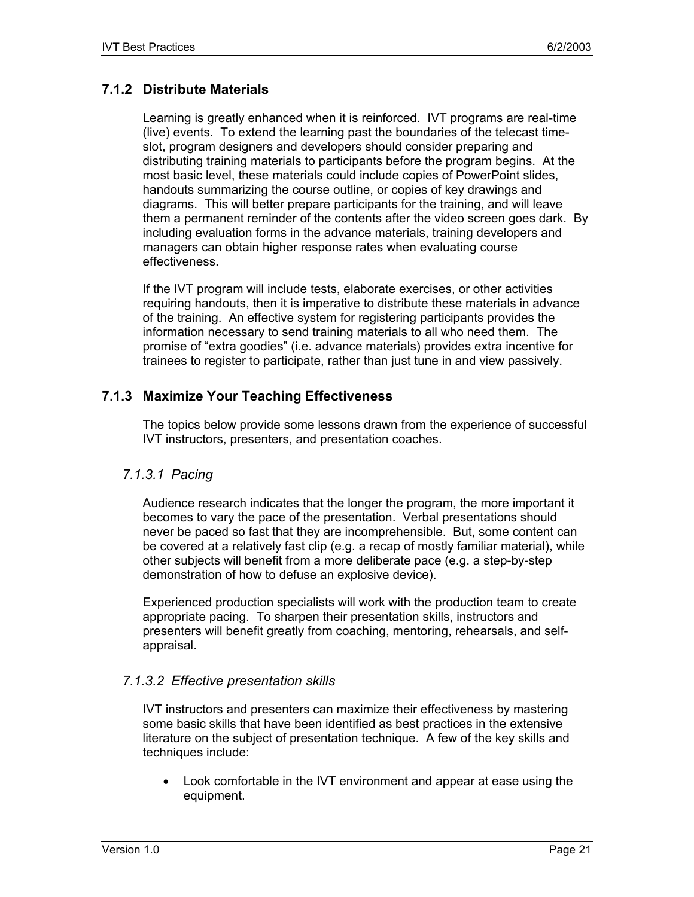## **7.1.2 Distribute Materials**

Learning is greatly enhanced when it is reinforced. IVT programs are real-time (live) events. To extend the learning past the boundaries of the telecast timeslot, program designers and developers should consider preparing and distributing training materials to participants before the program begins. At the most basic level, these materials could include copies of PowerPoint slides, handouts summarizing the course outline, or copies of key drawings and diagrams. This will better prepare participants for the training, and will leave them a permanent reminder of the contents after the video screen goes dark. By including evaluation forms in the advance materials, training developers and managers can obtain higher response rates when evaluating course effectiveness.

If the IVT program will include tests, elaborate exercises, or other activities requiring handouts, then it is imperative to distribute these materials in advance of the training. An effective system for registering participants provides the information necessary to send training materials to all who need them. The promise of "extra goodies" (i.e. advance materials) provides extra incentive for trainees to register to participate, rather than just tune in and view passively.

## **7.1.3 Maximize Your Teaching Effectiveness**

The topics below provide some lessons drawn from the experience of successful IVT instructors, presenters, and presentation coaches.

#### *7.1.3.1 Pacing*

Audience research indicates that the longer the program, the more important it becomes to vary the pace of the presentation. Verbal presentations should never be paced so fast that they are incomprehensible. But, some content can be covered at a relatively fast clip (e.g. a recap of mostly familiar material), while other subjects will benefit from a more deliberate pace (e.g. a step-by-step demonstration of how to defuse an explosive device).

Experienced production specialists will work with the production team to create appropriate pacing. To sharpen their presentation skills, instructors and presenters will benefit greatly from coaching, mentoring, rehearsals, and selfappraisal.

## *7.1.3.2 Effective presentation skills*

IVT instructors and presenters can maximize their effectiveness by mastering some basic skills that have been identified as best practices in the extensive literature on the subject of presentation technique. A few of the key skills and techniques include:

• Look comfortable in the IVT environment and appear at ease using the equipment.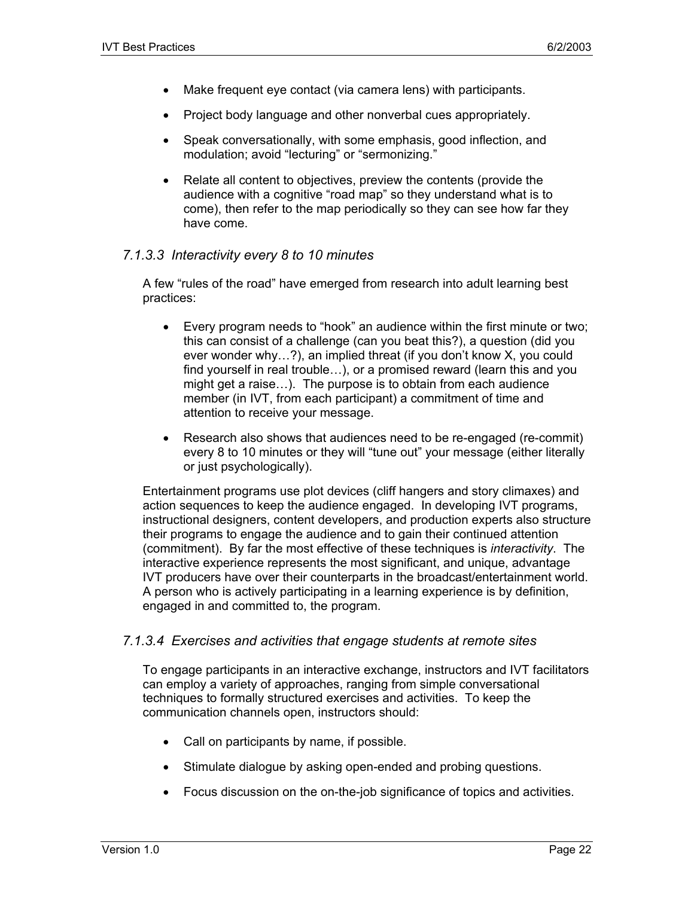- Make frequent eye contact (via camera lens) with participants.
- Project body language and other nonverbal cues appropriately.
- Speak conversationally, with some emphasis, good inflection, and modulation; avoid "lecturing" or "sermonizing."
- Relate all content to objectives, preview the contents (provide the audience with a cognitive "road map" so they understand what is to come), then refer to the map periodically so they can see how far they have come.

#### *7.1.3.3 Interactivity every 8 to 10 minutes*

A few "rules of the road" have emerged from research into adult learning best practices:

- Every program needs to "hook" an audience within the first minute or two; this can consist of a challenge (can you beat this?), a question (did you ever wonder why…?), an implied threat (if you don't know X, you could find yourself in real trouble…), or a promised reward (learn this and you might get a raise…). The purpose is to obtain from each audience member (in IVT, from each participant) a commitment of time and attention to receive your message.
- Research also shows that audiences need to be re-engaged (re-commit) every 8 to 10 minutes or they will "tune out" your message (either literally or just psychologically).

Entertainment programs use plot devices (cliff hangers and story climaxes) and action sequences to keep the audience engaged. In developing IVT programs, instructional designers, content developers, and production experts also structure their programs to engage the audience and to gain their continued attention (commitment). By far the most effective of these techniques is *interactivity*. The interactive experience represents the most significant, and unique, advantage IVT producers have over their counterparts in the broadcast/entertainment world. A person who is actively participating in a learning experience is by definition, engaged in and committed to, the program.

#### *7.1.3.4 Exercises and activities that engage students at remote sites*

To engage participants in an interactive exchange, instructors and IVT facilitators can employ a variety of approaches, ranging from simple conversational techniques to formally structured exercises and activities. To keep the communication channels open, instructors should:

- Call on participants by name, if possible.
- Stimulate dialogue by asking open-ended and probing questions.
- Focus discussion on the on-the-job significance of topics and activities.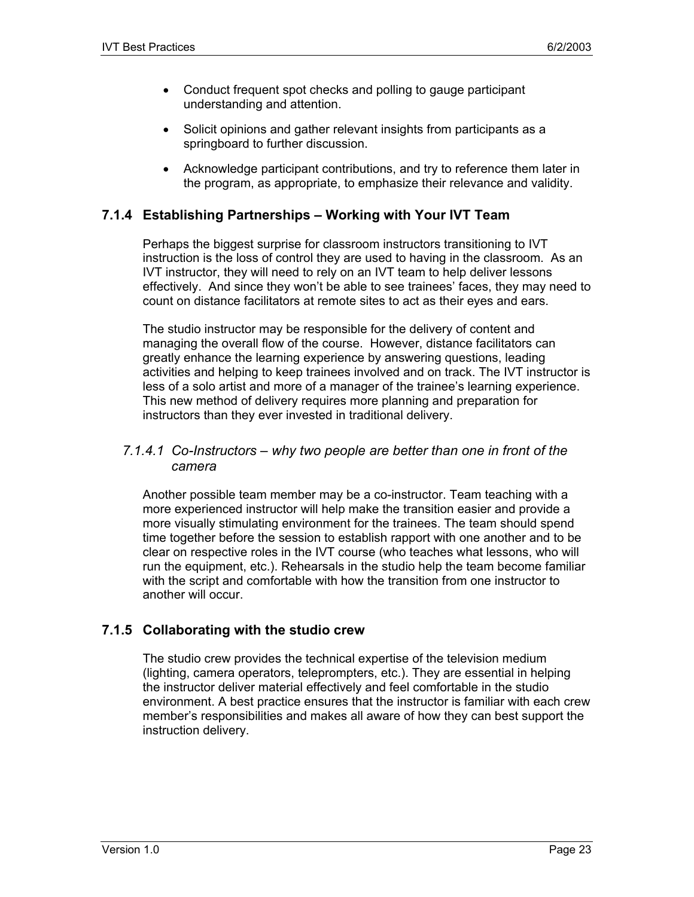- Conduct frequent spot checks and polling to gauge participant understanding and attention.
- Solicit opinions and gather relevant insights from participants as a springboard to further discussion.
- Acknowledge participant contributions, and try to reference them later in the program, as appropriate, to emphasize their relevance and validity.

## **7.1.4 Establishing Partnerships – Working with Your IVT Team**

Perhaps the biggest surprise for classroom instructors transitioning to IVT instruction is the loss of control they are used to having in the classroom. As an IVT instructor, they will need to rely on an IVT team to help deliver lessons effectively. And since they won't be able to see trainees' faces, they may need to count on distance facilitators at remote sites to act as their eyes and ears.

The studio instructor may be responsible for the delivery of content and managing the overall flow of the course. However, distance facilitators can greatly enhance the learning experience by answering questions, leading activities and helping to keep trainees involved and on track. The IVT instructor is less of a solo artist and more of a manager of the trainee's learning experience. This new method of delivery requires more planning and preparation for instructors than they ever invested in traditional delivery.

#### *7.1.4.1 Co-Instructors – why two people are better than one in front of the camera*

Another possible team member may be a co-instructor. Team teaching with a more experienced instructor will help make the transition easier and provide a more visually stimulating environment for the trainees. The team should spend time together before the session to establish rapport with one another and to be clear on respective roles in the IVT course (who teaches what lessons, who will run the equipment, etc.). Rehearsals in the studio help the team become familiar with the script and comfortable with how the transition from one instructor to another will occur.

## **7.1.5 Collaborating with the studio crew**

The studio crew provides the technical expertise of the television medium (lighting, camera operators, teleprompters, etc.). They are essential in helping the instructor deliver material effectively and feel comfortable in the studio environment. A best practice ensures that the instructor is familiar with each crew member's responsibilities and makes all aware of how they can best support the instruction delivery.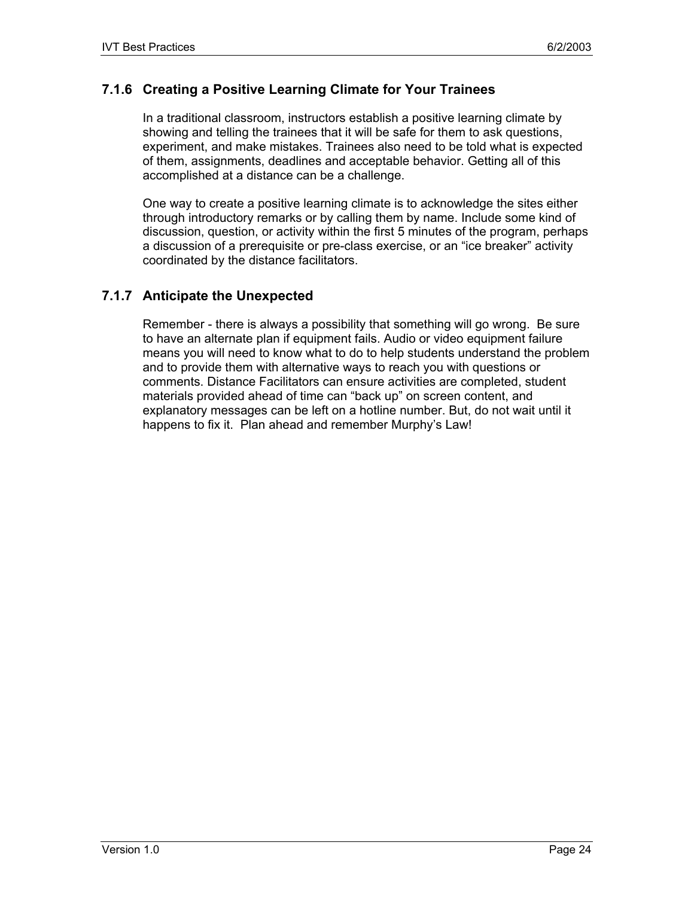## **7.1.6 Creating a Positive Learning Climate for Your Trainees**

In a traditional classroom, instructors establish a positive learning climate by showing and telling the trainees that it will be safe for them to ask questions, experiment, and make mistakes. Trainees also need to be told what is expected of them, assignments, deadlines and acceptable behavior. Getting all of this accomplished at a distance can be a challenge.

One way to create a positive learning climate is to acknowledge the sites either through introductory remarks or by calling them by name. Include some kind of discussion, question, or activity within the first 5 minutes of the program, perhaps a discussion of a prerequisite or pre-class exercise, or an "ice breaker" activity coordinated by the distance facilitators.

## **7.1.7 Anticipate the Unexpected**

Remember - there is always a possibility that something will go wrong. Be sure to have an alternate plan if equipment fails. Audio or video equipment failure means you will need to know what to do to help students understand the problem and to provide them with alternative ways to reach you with questions or comments. Distance Facilitators can ensure activities are completed, student materials provided ahead of time can "back up" on screen content, and explanatory messages can be left on a hotline number. But, do not wait until it happens to fix it. Plan ahead and remember Murphy's Law!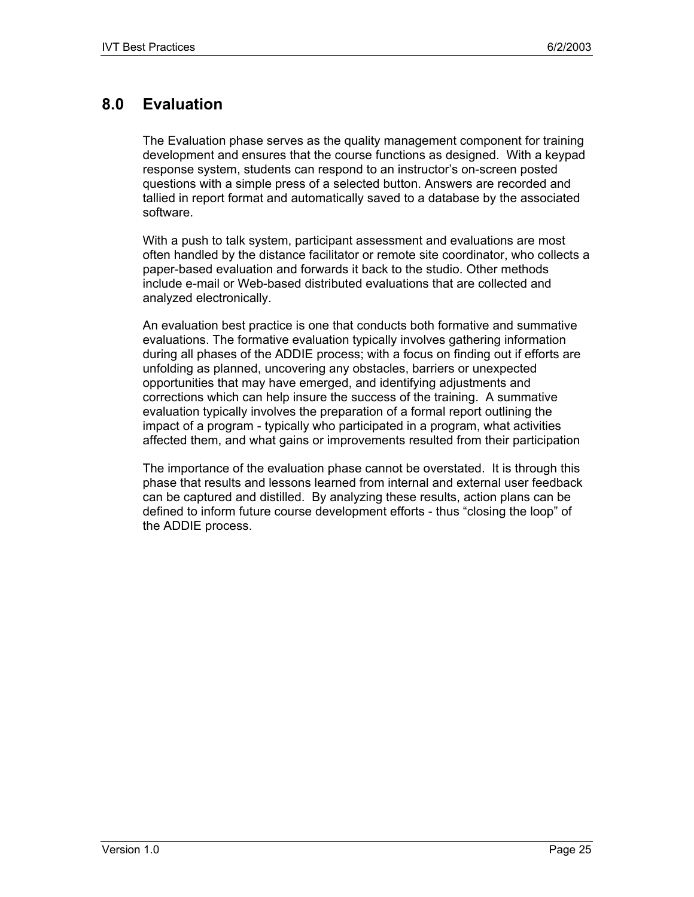# **8.0 Evaluation**

The Evaluation phase serves as the quality management component for training development and ensures that the course functions as designed. With a keypad response system, students can respond to an instructor's on-screen posted questions with a simple press of a selected button. Answers are recorded and tallied in report format and automatically saved to a database by the associated software.

With a push to talk system, participant assessment and evaluations are most often handled by the distance facilitator or remote site coordinator, who collects a paper-based evaluation and forwards it back to the studio. Other methods include e-mail or Web-based distributed evaluations that are collected and analyzed electronically.

An evaluation best practice is one that conducts both formative and summative evaluations. The formative evaluation typically involves gathering information during all phases of the ADDIE process; with a focus on finding out if efforts are unfolding as planned, uncovering any obstacles, barriers or unexpected opportunities that may have emerged, and identifying adjustments and corrections which can help insure the success of the training. A summative evaluation typically involves the preparation of a formal report outlining the impact of a program - typically who participated in a program, what activities affected them, and what gains or improvements resulted from their participation

The importance of the evaluation phase cannot be overstated. It is through this phase that results and lessons learned from internal and external user feedback can be captured and distilled. By analyzing these results, action plans can be defined to inform future course development efforts - thus "closing the loop" of the ADDIE process.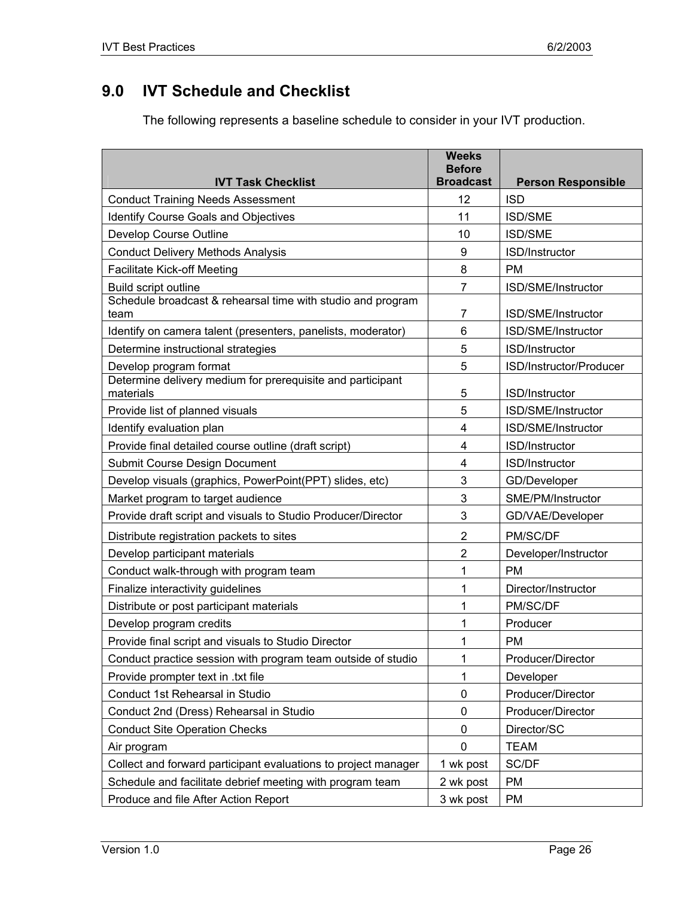# **9.0 IVT Schedule and Checklist**

The following represents a baseline schedule to consider in your IVT production.

| <b>IVT Task Checklist</b>                                               | <b>Weeks</b><br><b>Before</b><br><b>Broadcast</b> | <b>Person Responsible</b> |
|-------------------------------------------------------------------------|---------------------------------------------------|---------------------------|
| <b>Conduct Training Needs Assessment</b>                                | 12                                                | <b>ISD</b>                |
| <b>Identify Course Goals and Objectives</b>                             | 11                                                | <b>ISD/SME</b>            |
| Develop Course Outline                                                  | 10                                                | <b>ISD/SME</b>            |
| <b>Conduct Delivery Methods Analysis</b>                                | 9                                                 | ISD/Instructor            |
| <b>Facilitate Kick-off Meeting</b>                                      | 8                                                 | <b>PM</b>                 |
| Build script outline                                                    | $\overline{7}$                                    | ISD/SME/Instructor        |
| Schedule broadcast & rehearsal time with studio and program<br>team     | 7                                                 | ISD/SME/Instructor        |
| Identify on camera talent (presenters, panelists, moderator)            | 6                                                 | ISD/SME/Instructor        |
| Determine instructional strategies                                      | 5                                                 | ISD/Instructor            |
| Develop program format                                                  | 5                                                 | ISD/Instructor/Producer   |
| Determine delivery medium for prerequisite and participant<br>materials | 5                                                 | ISD/Instructor            |
| Provide list of planned visuals                                         | 5                                                 | ISD/SME/Instructor        |
| Identify evaluation plan                                                | 4                                                 | ISD/SME/Instructor        |
| Provide final detailed course outline (draft script)                    | 4                                                 | ISD/Instructor            |
| Submit Course Design Document                                           | $\overline{4}$                                    | ISD/Instructor            |
| Develop visuals (graphics, PowerPoint(PPT) slides, etc)                 | 3                                                 | GD/Developer              |
| Market program to target audience                                       | 3                                                 | SME/PM/Instructor         |
| Provide draft script and visuals to Studio Producer/Director            | 3                                                 | GD/VAE/Developer          |
| Distribute registration packets to sites                                | 2                                                 | PM/SC/DF                  |
| Develop participant materials                                           | $\overline{2}$                                    | Developer/Instructor      |
| Conduct walk-through with program team                                  | 1                                                 | <b>PM</b>                 |
| Finalize interactivity guidelines                                       | 1                                                 | Director/Instructor       |
| Distribute or post participant materials                                | 1                                                 | PM/SC/DF                  |
| Develop program credits                                                 | 1                                                 | Producer                  |
| Provide final script and visuals to Studio Director                     | 1                                                 | <b>PM</b>                 |
| Conduct practice session with program team outside of studio            | 1                                                 | Producer/Director         |
| Provide prompter text in .txt file                                      | 1                                                 | Developer                 |
| Conduct 1st Rehearsal in Studio                                         | 0                                                 | Producer/Director         |
| Conduct 2nd (Dress) Rehearsal in Studio                                 | 0                                                 | Producer/Director         |
| <b>Conduct Site Operation Checks</b>                                    | 0                                                 | Director/SC               |
| Air program                                                             | 0                                                 | <b>TEAM</b>               |
| Collect and forward participant evaluations to project manager          | 1 wk post                                         | SC/DF                     |
| Schedule and facilitate debrief meeting with program team               | 2 wk post                                         | PM                        |
| Produce and file After Action Report                                    | 3 wk post                                         | PM                        |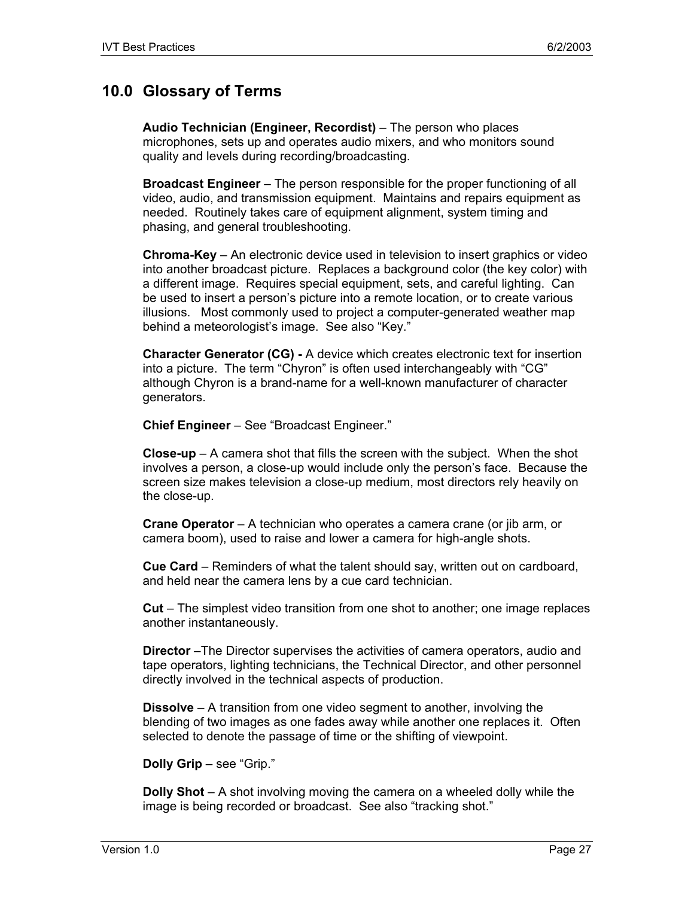# **10.0 Glossary of Terms**

**Audio Technician (Engineer, Recordist)** – The person who places microphones, sets up and operates audio mixers, and who monitors sound quality and levels during recording/broadcasting.

**Broadcast Engineer** – The person responsible for the proper functioning of all video, audio, and transmission equipment. Maintains and repairs equipment as needed. Routinely takes care of equipment alignment, system timing and phasing, and general troubleshooting.

**Chroma-Key** – An electronic device used in television to insert graphics or video into another broadcast picture. Replaces a background color (the key color) with a different image. Requires special equipment, sets, and careful lighting. Can be used to insert a person's picture into a remote location, or to create various illusions. Most commonly used to project a computer-generated weather map behind a meteorologist's image. See also "Key."

**Character Generator (CG) -** A device which creates electronic text for insertion into a picture. The term "Chyron" is often used interchangeably with "CG" although Chyron is a brand-name for a well-known manufacturer of character generators.

**Chief Engineer** – See "Broadcast Engineer."

**Close-up** – A camera shot that fills the screen with the subject. When the shot involves a person, a close-up would include only the person's face. Because the screen size makes television a close-up medium, most directors rely heavily on the close-up.

**Crane Operator** – A technician who operates a camera crane (or jib arm, or camera boom), used to raise and lower a camera for high-angle shots.

**Cue Card** – Reminders of what the talent should say, written out on cardboard, and held near the camera lens by a cue card technician.

**Cut** – The simplest video transition from one shot to another; one image replaces another instantaneously.

**Director** –The Director supervises the activities of camera operators, audio and tape operators, lighting technicians, the Technical Director, and other personnel directly involved in the technical aspects of production.

**Dissolve** – A transition from one video segment to another, involving the blending of two images as one fades away while another one replaces it. Often selected to denote the passage of time or the shifting of viewpoint.

**Dolly Grip** – see "Grip."

**Dolly Shot** – A shot involving moving the camera on a wheeled dolly while the image is being recorded or broadcast. See also "tracking shot."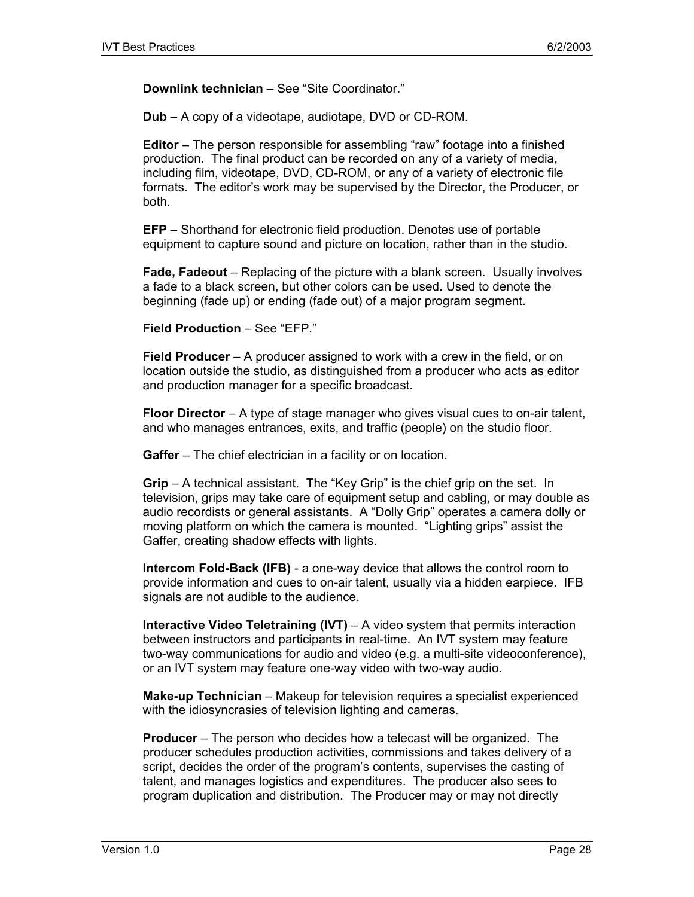**Downlink technician** – See "Site Coordinator."

**Dub** – A copy of a videotape, audiotape, DVD or CD-ROM.

**Editor** – The person responsible for assembling "raw" footage into a finished production. The final product can be recorded on any of a variety of media, including film, videotape, DVD, CD-ROM, or any of a variety of electronic file formats. The editor's work may be supervised by the Director, the Producer, or both.

**EFP** – Shorthand for electronic field production. Denotes use of portable equipment to capture sound and picture on location, rather than in the studio.

**Fade, Fadeout** – Replacing of the picture with a blank screen. Usually involves a fade to a black screen, but other colors can be used. Used to denote the beginning (fade up) or ending (fade out) of a major program segment.

**Field Production** – See "EFP."

**Field Producer** – A producer assigned to work with a crew in the field, or on location outside the studio, as distinguished from a producer who acts as editor and production manager for a specific broadcast.

**Floor Director** – A type of stage manager who gives visual cues to on-air talent, and who manages entrances, exits, and traffic (people) on the studio floor.

**Gaffer** – The chief electrician in a facility or on location.

**Grip** – A technical assistant. The "Key Grip" is the chief grip on the set. In television, grips may take care of equipment setup and cabling, or may double as audio recordists or general assistants. A "Dolly Grip" operates a camera dolly or moving platform on which the camera is mounted. "Lighting grips" assist the Gaffer, creating shadow effects with lights.

**Intercom Fold-Back (IFB)** - a one-way device that allows the control room to provide information and cues to on-air talent, usually via a hidden earpiece. IFB signals are not audible to the audience.

**Interactive Video Teletraining (IVT)** – A video system that permits interaction between instructors and participants in real-time. An IVT system may feature two-way communications for audio and video (e.g. a multi-site videoconference), or an IVT system may feature one-way video with two-way audio.

**Make-up Technician** – Makeup for television requires a specialist experienced with the idiosyncrasies of television lighting and cameras.

**Producer** – The person who decides how a telecast will be organized. The producer schedules production activities, commissions and takes delivery of a script, decides the order of the program's contents, supervises the casting of talent, and manages logistics and expenditures. The producer also sees to program duplication and distribution. The Producer may or may not directly